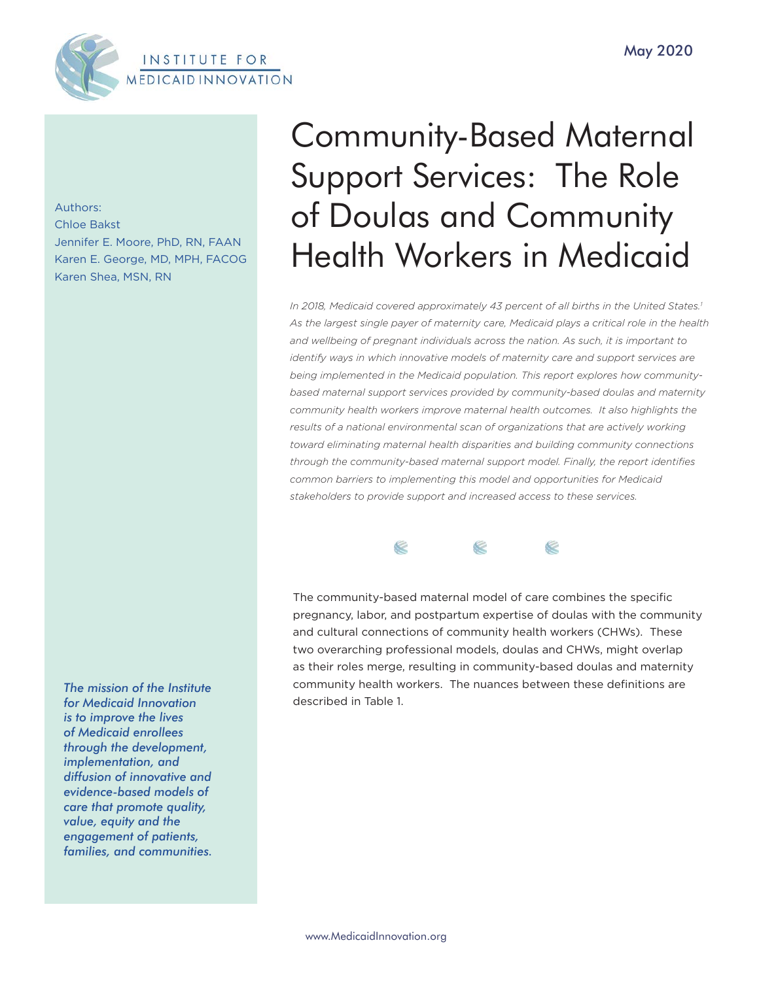

Authors: Chloe Bakst Jennifer E. Moore, PhD, RN, FAAN Karen E. George, MD, MPH, FACOG Karen Shea, MSN, RN

*The mission of the Institute for Medicaid Innovation is to improve the lives of Medicaid enrollees through the development, implementation, and diffusion of innovative and evidence-based models of care that promote quality, value, equity and the engagement of patients, families, and communities.*

# Community-Based Maternal Support Services: The Role of Doulas and Community Health Workers in Medicaid

*In 2018, Medicaid covered approximately 43 percent of all births in the United States.1 As the largest single payer of maternity care, Medicaid plays a critical role in the health and wellbeing of pregnant individuals across the nation. As such, it is important to identify ways in which innovative models of maternity care and support services are being implemented in the Medicaid population. This report explores how communitybased maternal support services provided by community-based doulas and maternity community health workers improve maternal health outcomes. It also highlights the results of a national environmental scan of organizations that are actively working toward eliminating maternal health disparities and building community connections through the community-based maternal support model. Finally, the report identifies common barriers to implementing this model and opportunities for Medicaid stakeholders to provide support and increased access to these services.*



The community-based maternal model of care combines the specific pregnancy, labor, and postpartum expertise of doulas with the community and cultural connections of community health workers (CHWs). These two overarching professional models, doulas and CHWs, might overlap as their roles merge, resulting in community-based doulas and maternity community health workers. The nuances between these definitions are described in Table 1.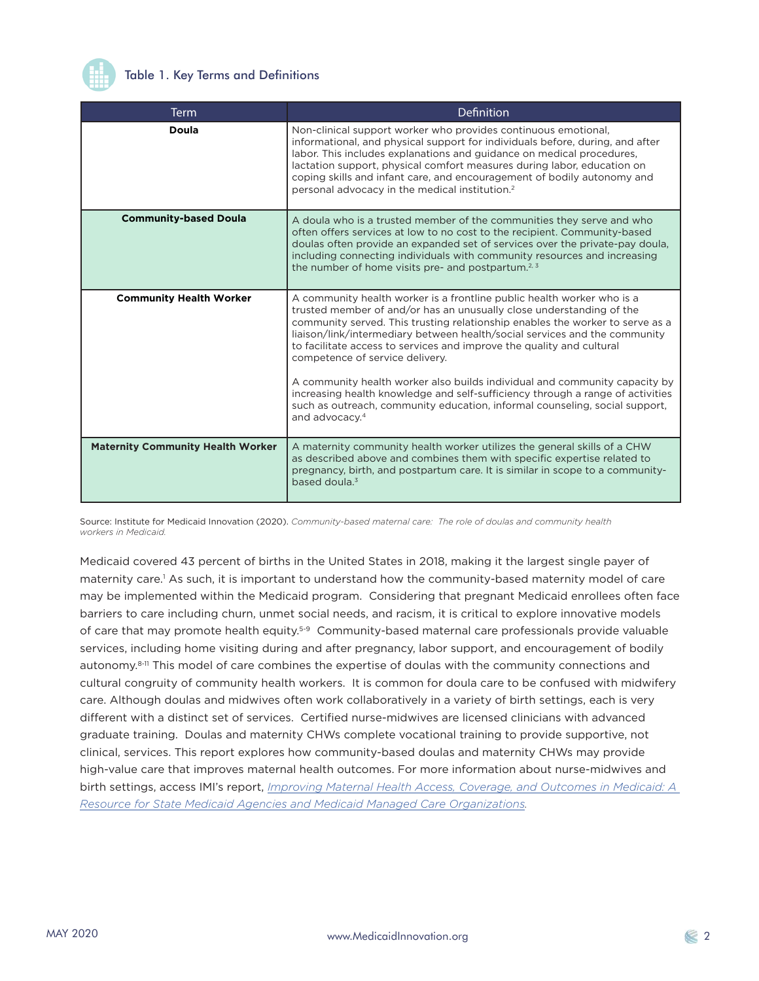

# Table 1. Key Terms and Definitions

| <b>Term</b>                              | Definition                                                                                                                                                                                                                                                                                                                                                                                                                                                                                                                                                                                                                                                                                             |
|------------------------------------------|--------------------------------------------------------------------------------------------------------------------------------------------------------------------------------------------------------------------------------------------------------------------------------------------------------------------------------------------------------------------------------------------------------------------------------------------------------------------------------------------------------------------------------------------------------------------------------------------------------------------------------------------------------------------------------------------------------|
| Doula                                    | Non-clinical support worker who provides continuous emotional,<br>informational, and physical support for individuals before, during, and after<br>labor. This includes explanations and guidance on medical procedures,<br>lactation support, physical comfort measures during labor, education on<br>coping skills and infant care, and encouragement of bodily autonomy and<br>personal advocacy in the medical institution. <sup>2</sup>                                                                                                                                                                                                                                                           |
| <b>Community-based Doula</b>             | A doula who is a trusted member of the communities they serve and who<br>often offers services at low to no cost to the recipient. Community-based<br>doulas often provide an expanded set of services over the private-pay doula,<br>including connecting individuals with community resources and increasing<br>the number of home visits pre- and postpartum. <sup>2, 3</sup>                                                                                                                                                                                                                                                                                                                       |
| <b>Community Health Worker</b>           | A community health worker is a frontline public health worker who is a<br>trusted member of and/or has an unusually close understanding of the<br>community served. This trusting relationship enables the worker to serve as a<br>liaison/link/intermediary between health/social services and the community<br>to facilitate access to services and improve the quality and cultural<br>competence of service delivery.<br>A community health worker also builds individual and community capacity by<br>increasing health knowledge and self-sufficiency through a range of activities<br>such as outreach, community education, informal counseling, social support,<br>and advocacy. <sup>4</sup> |
| <b>Maternity Community Health Worker</b> | A maternity community health worker utilizes the general skills of a CHW<br>as described above and combines them with specific expertise related to<br>pregnancy, birth, and postpartum care. It is similar in scope to a community-<br>based doula. <sup>3</sup>                                                                                                                                                                                                                                                                                                                                                                                                                                      |

Source: Institute for Medicaid Innovation (2020). *Community-based maternal care: The role of doulas and community health workers in Medicaid.*

Medicaid covered 43 percent of births in the United States in 2018, making it the largest single payer of maternity care.<sup>1</sup> As such, it is important to understand how the community-based maternity model of care may be implemented within the Medicaid program. Considering that pregnant Medicaid enrollees often face barriers to care including churn, unmet social needs, and racism, it is critical to explore innovative models of care that may promote health equity.5-9 Community-based maternal care professionals provide valuable services, including home visiting during and after pregnancy, labor support, and encouragement of bodily autonomy.<sup>8-11</sup> This model of care combines the expertise of doulas with the community connections and cultural congruity of community health workers. It is common for doula care to be confused with midwifery care. Although doulas and midwives often work collaboratively in a variety of birth settings, each is very different with a distinct set of services. Certified nurse-midwives are licensed clinicians with advanced graduate training. Doulas and maternity CHWs complete vocational training to provide supportive, not clinical, services. This report explores how community-based doulas and maternity CHWs may provide high-value care that improves maternal health outcomes. For more information about nurse-midwives and birth settings, access IMI's report, *Improving Maternal Health Access, Coverage, and Outcomes in Medicaid: A Resource for State Medicaid Agencies and Medicaid Managed Care Organizations.*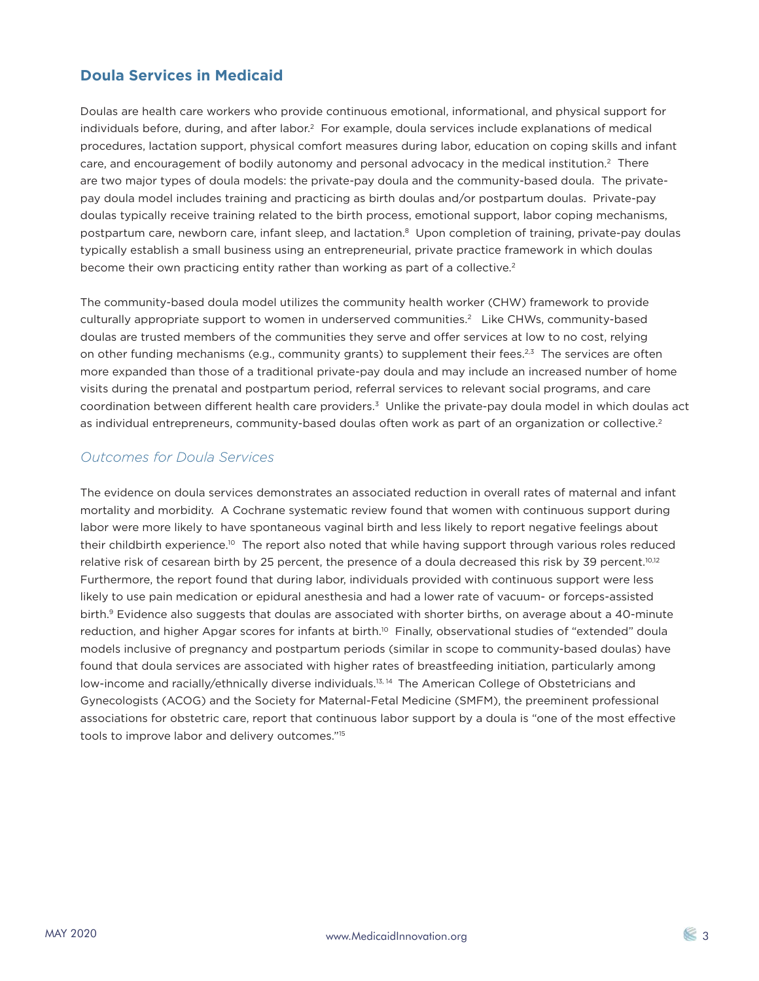# **Doula Services in Medicaid**

Doulas are health care workers who provide continuous emotional, informational, and physical support for individuals before, during, and after labor.<sup>2</sup> For example, doula services include explanations of medical procedures, lactation support, physical comfort measures during labor, education on coping skills and infant care, and encouragement of bodily autonomy and personal advocacy in the medical institution.<sup>2</sup> There are two major types of doula models: the private-pay doula and the community-based doula. The privatepay doula model includes training and practicing as birth doulas and/or postpartum doulas. Private-pay doulas typically receive training related to the birth process, emotional support, labor coping mechanisms, postpartum care, newborn care, infant sleep, and lactation.8 Upon completion of training, private-pay doulas typically establish a small business using an entrepreneurial, private practice framework in which doulas become their own practicing entity rather than working as part of a collective.<sup>2</sup>

The community-based doula model utilizes the community health worker (CHW) framework to provide culturally appropriate support to women in underserved communities.<sup>2</sup> Like CHWs, community-based doulas are trusted members of the communities they serve and offer services at low to no cost, relying on other funding mechanisms (e.g., community grants) to supplement their fees.<sup>2,3</sup> The services are often more expanded than those of a traditional private-pay doula and may include an increased number of home visits during the prenatal and postpartum period, referral services to relevant social programs, and care coordination between different health care providers.<sup>3</sup> Unlike the private-pay doula model in which doulas act as individual entrepreneurs, community-based doulas often work as part of an organization or collective.<sup>2</sup>

# *Outcomes for Doula Services*

The evidence on doula services demonstrates an associated reduction in overall rates of maternal and infant mortality and morbidity. A Cochrane systematic review found that women with continuous support during labor were more likely to have spontaneous vaginal birth and less likely to report negative feelings about their childbirth experience.<sup>10</sup> The report also noted that while having support through various roles reduced relative risk of cesarean birth by 25 percent, the presence of a doula decreased this risk by 39 percent.<sup>10,12</sup> Furthermore, the report found that during labor, individuals provided with continuous support were less likely to use pain medication or epidural anesthesia and had a lower rate of vacuum- or forceps-assisted birth.<sup>9</sup> Evidence also suggests that doulas are associated with shorter births, on average about a 40-minute reduction, and higher Apgar scores for infants at birth.<sup>10</sup> Finally, observational studies of "extended" doula models inclusive of pregnancy and postpartum periods (similar in scope to community-based doulas) have found that doula services are associated with higher rates of breastfeeding initiation, particularly among low-income and racially/ethnically diverse individuals.<sup>13, 14</sup> The American College of Obstetricians and Gynecologists (ACOG) and the Society for Maternal-Fetal Medicine (SMFM), the preeminent professional associations for obstetric care, report that continuous labor support by a doula is "one of the most effective tools to improve labor and delivery outcomes."15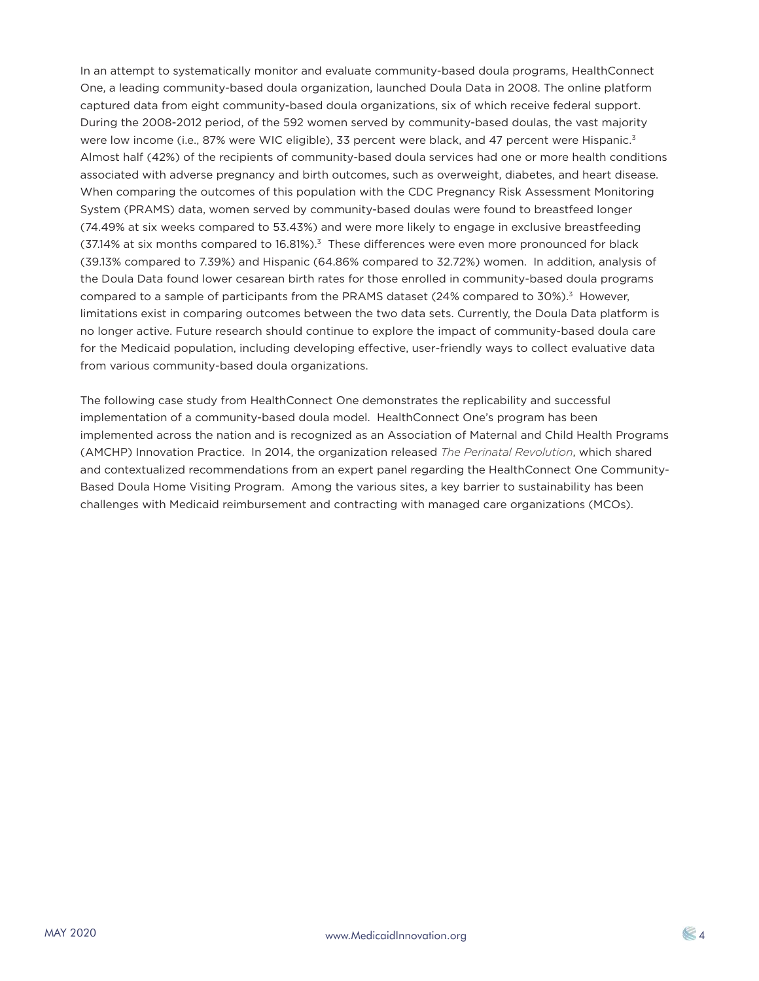In an attempt to systematically monitor and evaluate community-based doula programs, HealthConnect One, a leading community-based doula organization, launched Doula Data in 2008. The online platform captured data from eight community-based doula organizations, six of which receive federal support. During the 2008-2012 period, of the 592 women served by community-based doulas, the vast majority were low income (i.e., 87% were WIC eligible), 33 percent were black, and 47 percent were Hispanic.<sup>3</sup> Almost half (42%) of the recipients of community-based doula services had one or more health conditions associated with adverse pregnancy and birth outcomes, such as overweight, diabetes, and heart disease. When comparing the outcomes of this population with the CDC Pregnancy Risk Assessment Monitoring System (PRAMS) data, women served by community-based doulas were found to breastfeed longer (74.49% at six weeks compared to 53.43%) and were more likely to engage in exclusive breastfeeding (37.14% at six months compared to 16.81%).<sup>3</sup> These differences were even more pronounced for black (39.13% compared to 7.39%) and Hispanic (64.86% compared to 32.72%) women. In addition, analysis of the Doula Data found lower cesarean birth rates for those enrolled in community-based doula programs compared to a sample of participants from the PRAMS dataset  $(24\%$  compared to  $30\%$ .<sup>3</sup> However, limitations exist in comparing outcomes between the two data sets. Currently, the Doula Data platform is no longer active. Future research should continue to explore the impact of community-based doula care for the Medicaid population, including developing effective, user-friendly ways to collect evaluative data from various community-based doula organizations.

The following case study from HealthConnect One demonstrates the replicability and successful implementation of a community-based doula model. HealthConnect One's program has been implemented across the nation and is recognized as an Association of Maternal and Child Health Programs (AMCHP) Innovation Practice. In 2014, the organization released *The Perinatal Revolution*, which shared and contextualized recommendations from an expert panel regarding the HealthConnect One Community-Based Doula Home Visiting Program. Among the various sites, a key barrier to sustainability has been challenges with Medicaid reimbursement and contracting with managed care organizations (MCOs).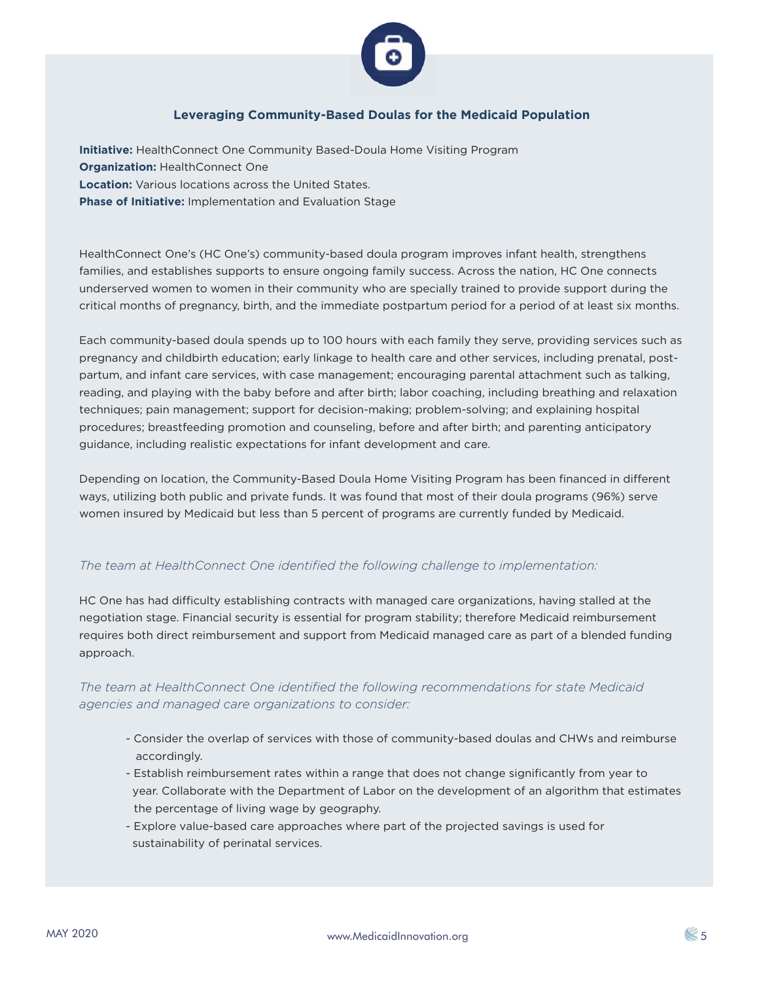

## **Leveraging Community-Based Doulas for the Medicaid Population**

**Initiative:** HealthConnect One Community Based-Doula Home Visiting Program **Organization: HealthConnect One Location:** Various locations across the United States. **Phase of Initiative:** Implementation and Evaluation Stage

HealthConnect One's (HC One's) community-based doula program improves infant health, strengthens families, and establishes supports to ensure ongoing family success. Across the nation, HC One connects underserved women to women in their community who are specially trained to provide support during the critical months of pregnancy, birth, and the immediate postpartum period for a period of at least six months.

Each community-based doula spends up to 100 hours with each family they serve, providing services such as pregnancy and childbirth education; early linkage to health care and other services, including prenatal, postpartum, and infant care services, with case management; encouraging parental attachment such as talking, reading, and playing with the baby before and after birth; labor coaching, including breathing and relaxation techniques; pain management; support for decision-making; problem-solving; and explaining hospital procedures; breastfeeding promotion and counseling, before and after birth; and parenting anticipatory guidance, including realistic expectations for infant development and care.

Depending on location, the Community-Based Doula Home Visiting Program has been financed in different ways, utilizing both public and private funds. It was found that most of their doula programs (96%) serve women insured by Medicaid but less than 5 percent of programs are currently funded by Medicaid.

## *The team at HealthConnect One identified the following challenge to implementation:*

HC One has had difficulty establishing contracts with managed care organizations, having stalled at the negotiation stage. Financial security is essential for program stability; therefore Medicaid reimbursement requires both direct reimbursement and support from Medicaid managed care as part of a blended funding approach.

*The team at HealthConnect One identified the following recommendations for state Medicaid agencies and managed care organizations to consider:* 

- Consider the overlap of services with those of community-based doulas and CHWs and reimburse accordingly.
- Establish reimbursement rates within a range that does not change significantly from year to year. Collaborate with the Department of Labor on the development of an algorithm that estimates the percentage of living wage by geography.
- Explore value-based care approaches where part of the projected savings is used for sustainability of perinatal services.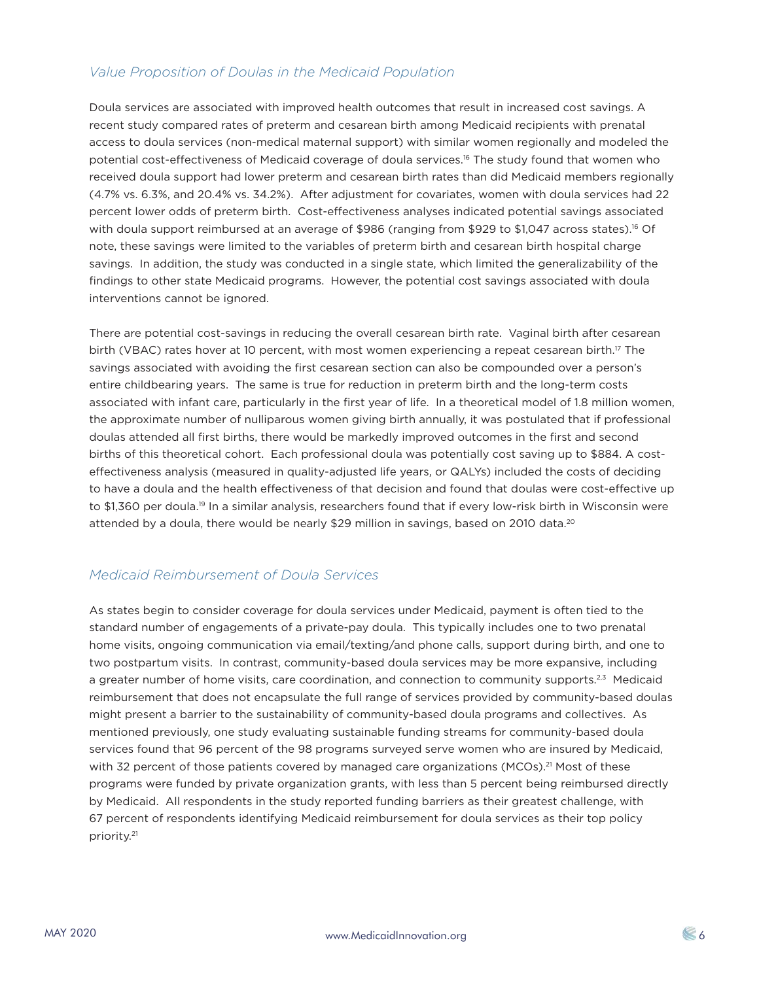# *Value Proposition of Doulas in the Medicaid Population*

Doula services are associated with improved health outcomes that result in increased cost savings. A recent study compared rates of preterm and cesarean birth among Medicaid recipients with prenatal access to doula services (non-medical maternal support) with similar women regionally and modeled the potential cost-effectiveness of Medicaid coverage of doula services.16 The study found that women who received doula support had lower preterm and cesarean birth rates than did Medicaid members regionally (4.7% vs. 6.3%, and 20.4% vs. 34.2%). After adjustment for covariates, women with doula services had 22 percent lower odds of preterm birth. Cost-effectiveness analyses indicated potential savings associated with doula support reimbursed at an average of \$986 (ranging from \$929 to \$1,047 across states).<sup>16</sup> Of note, these savings were limited to the variables of preterm birth and cesarean birth hospital charge savings. In addition, the study was conducted in a single state, which limited the generalizability of the findings to other state Medicaid programs. However, the potential cost savings associated with doula interventions cannot be ignored.

There are potential cost-savings in reducing the overall cesarean birth rate. Vaginal birth after cesarean birth (VBAC) rates hover at 10 percent, with most women experiencing a repeat cesarean birth.<sup>17</sup> The savings associated with avoiding the first cesarean section can also be compounded over a person's entire childbearing years. The same is true for reduction in preterm birth and the long-term costs associated with infant care, particularly in the first year of life. In a theoretical model of 1.8 million women, the approximate number of nulliparous women giving birth annually, it was postulated that if professional doulas attended all first births, there would be markedly improved outcomes in the first and second births of this theoretical cohort. Each professional doula was potentially cost saving up to \$884. A costeffectiveness analysis (measured in quality-adjusted life years, or QALYs) included the costs of deciding to have a doula and the health effectiveness of that decision and found that doulas were cost-effective up to \$1,360 per doula.<sup>19</sup> In a similar analysis, researchers found that if every low-risk birth in Wisconsin were attended by a doula, there would be nearly \$29 million in savings, based on 2010 data.<sup>20</sup>

# *Medicaid Reimbursement of Doula Services*

As states begin to consider coverage for doula services under Medicaid, payment is often tied to the standard number of engagements of a private-pay doula. This typically includes one to two prenatal home visits, ongoing communication via email/texting/and phone calls, support during birth, and one to two postpartum visits. In contrast, community-based doula services may be more expansive, including a greater number of home visits, care coordination, and connection to community supports.<sup>2,3</sup> Medicaid reimbursement that does not encapsulate the full range of services provided by community-based doulas might present a barrier to the sustainability of community-based doula programs and collectives. As mentioned previously, one study evaluating sustainable funding streams for community-based doula services found that 96 percent of the 98 programs surveyed serve women who are insured by Medicaid, with 32 percent of those patients covered by managed care organizations (MCOs).<sup>21</sup> Most of these programs were funded by private organization grants, with less than 5 percent being reimbursed directly by Medicaid. All respondents in the study reported funding barriers as their greatest challenge, with 67 percent of respondents identifying Medicaid reimbursement for doula services as their top policy priority.21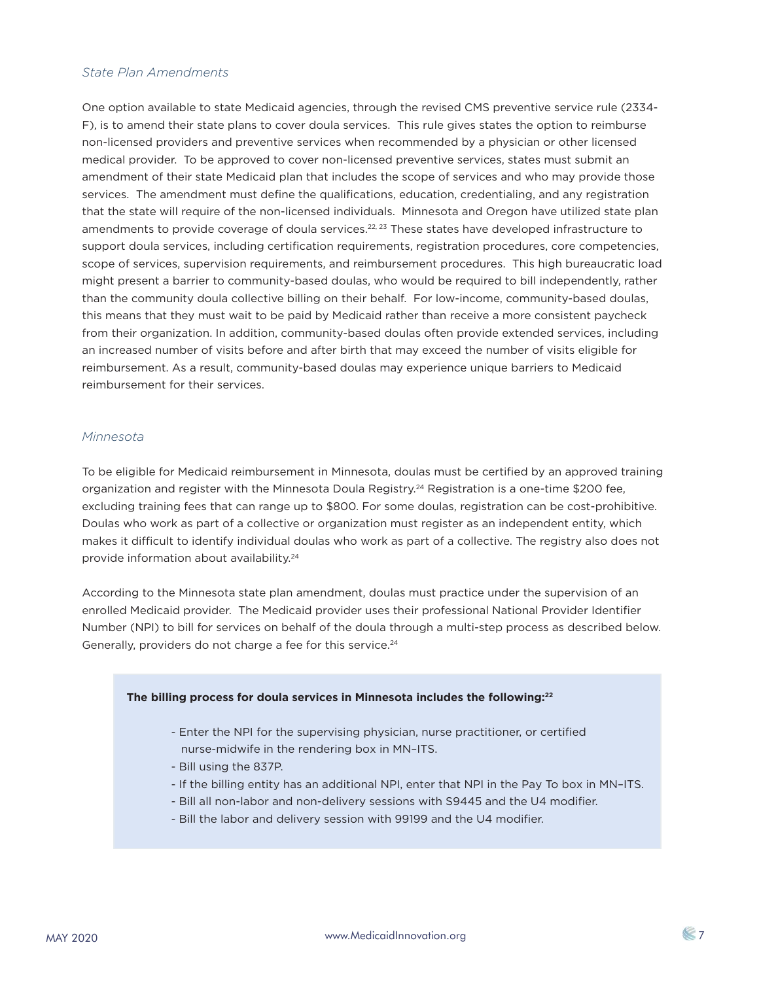## *State Plan Amendments*

One option available to state Medicaid agencies, through the revised CMS preventive service rule (2334- F), is to amend their state plans to cover doula services. This rule gives states the option to reimburse non-licensed providers and preventive services when recommended by a physician or other licensed medical provider. To be approved to cover non-licensed preventive services, states must submit an amendment of their state Medicaid plan that includes the scope of services and who may provide those services. The amendment must define the qualifications, education, credentialing, and any registration that the state will require of the non-licensed individuals. Minnesota and Oregon have utilized state plan amendments to provide coverage of doula services.<sup>22, 23</sup> These states have developed infrastructure to support doula services, including certification requirements, registration procedures, core competencies, scope of services, supervision requirements, and reimbursement procedures. This high bureaucratic load might present a barrier to community-based doulas, who would be required to bill independently, rather than the community doula collective billing on their behalf. For low-income, community-based doulas, this means that they must wait to be paid by Medicaid rather than receive a more consistent paycheck from their organization. In addition, community-based doulas often provide extended services, including an increased number of visits before and after birth that may exceed the number of visits eligible for reimbursement. As a result, community-based doulas may experience unique barriers to Medicaid reimbursement for their services.

#### *Minnesota*

To be eligible for Medicaid reimbursement in Minnesota, doulas must be certified by an approved training organization and register with the Minnesota Doula Registry.<sup>24</sup> Registration is a one-time \$200 fee, excluding training fees that can range up to \$800. For some doulas, registration can be cost-prohibitive. Doulas who work as part of a collective or organization must register as an independent entity, which makes it difficult to identify individual doulas who work as part of a collective. The registry also does not provide information about availability.<sup>24</sup>

According to the Minnesota state plan amendment, doulas must practice under the supervision of an enrolled Medicaid provider. The Medicaid provider uses their professional National Provider Identifier Number (NPI) to bill for services on behalf of the doula through a multi-step process as described below. Generally, providers do not charge a fee for this service.<sup>24</sup>

#### **The billing process for doula services in Minnesota includes the following:22**

- Enter the NPI for the supervising physician, nurse practitioner, or certified nurse-midwife in the rendering box in MN–ITS.
- Bill using the 837P.
- If the billing entity has an additional NPI, enter that NPI in the Pay To box in MN–ITS.
- Bill all non-labor and non-delivery sessions with S9445 and the U4 modifier.
- Bill the labor and delivery session with 99199 and the U4 modifier.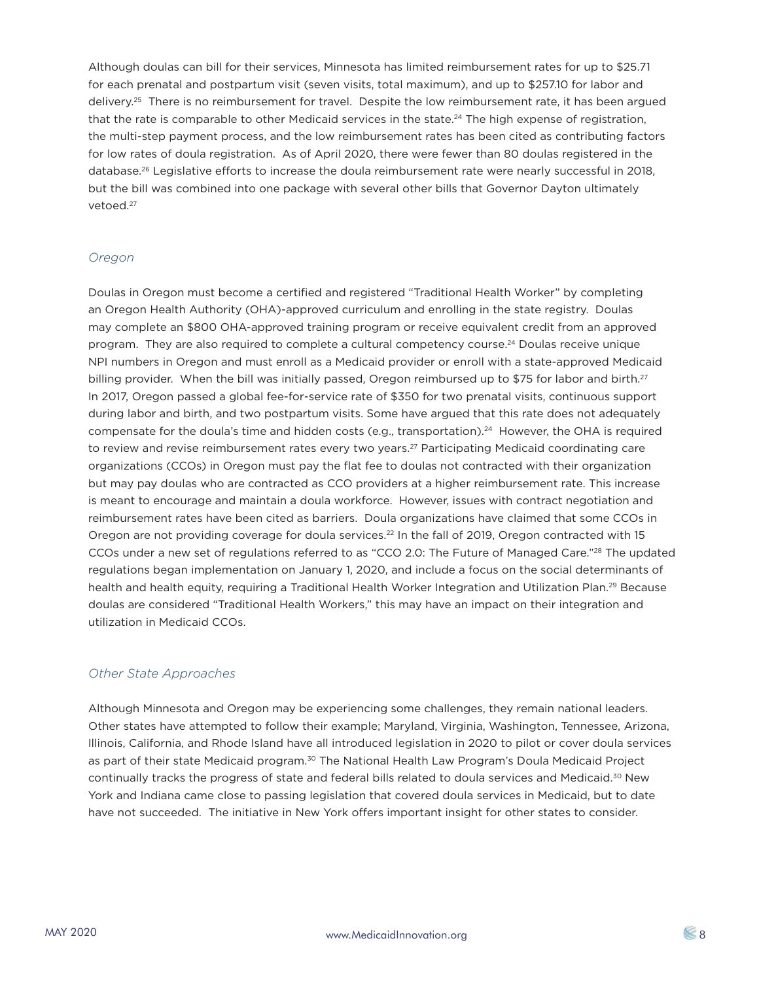Although doulas can bill for their services, Minnesota has limited reimbursement rates for up to \$25.71 for each prenatal and postpartum visit (seven visits, total maximum), and up to \$257.10 for labor and delivery.<sup>25</sup> There is no reimbursement for travel. Despite the low reimbursement rate, it has been argued that the rate is comparable to other Medicaid services in the state.<sup>24</sup> The high expense of registration, the multi-step payment process, and the low reimbursement rates has been cited as contributing factors for low rates of doula registration. As of April 2020, there were fewer than 80 doulas registered in the database.<sup>26</sup> Legislative efforts to increase the doula reimbursement rate were nearly successful in 2018, but the bill was combined into one package with several other bills that Governor Dayton ultimately vetoed.27

## *Oregon*

Doulas in Oregon must become a certified and registered "Traditional Health Worker" by completing an Oregon Health Authority (OHA)-approved curriculum and enrolling in the state registry. Doulas may complete an \$800 OHA-approved training program or receive equivalent credit from an approved program. They are also required to complete a cultural competency course.24 Doulas receive unique NPI numbers in Oregon and must enroll as a Medicaid provider or enroll with a state-approved Medicaid billing provider. When the bill was initially passed, Oregon reimbursed up to \$75 for labor and birth.<sup>27</sup> In 2017, Oregon passed a global fee-for-service rate of \$350 for two prenatal visits, continuous support during labor and birth, and two postpartum visits. Some have argued that this rate does not adequately compensate for the doula's time and hidden costs (e.g., transportation).24 However, the OHA is required to review and revise reimbursement rates every two years.<sup>27</sup> Participating Medicaid coordinating care organizations (CCOs) in Oregon must pay the flat fee to doulas not contracted with their organization but may pay doulas who are contracted as CCO providers at a higher reimbursement rate. This increase is meant to encourage and maintain a doula workforce. However, issues with contract negotiation and reimbursement rates have been cited as barriers. Doula organizations have claimed that some CCOs in Oregon are not providing coverage for doula services.<sup>22</sup> In the fall of 2019, Oregon contracted with 15 CCOs under a new set of regulations referred to as "CCO 2.0: The Future of Managed Care."28 The updated regulations began implementation on January 1, 2020, and include a focus on the social determinants of health and health equity, requiring a Traditional Health Worker Integration and Utilization Plan.<sup>29</sup> Because doulas are considered "Traditional Health Workers," this may have an impact on their integration and utilization in Medicaid CCOs.

#### *Other State Approaches*

Although Minnesota and Oregon may be experiencing some challenges, they remain national leaders. Other states have attempted to follow their example; Maryland, Virginia, Washington, Tennessee, Arizona, Illinois, California, and Rhode Island have all introduced legislation in 2020 to pilot or cover doula services as part of their state Medicaid program.<sup>30</sup> The National Health Law Program's Doula Medicaid Project continually tracks the progress of state and federal bills related to doula services and Medicaid.30 New York and Indiana came close to passing legislation that covered doula services in Medicaid, but to date have not succeeded. The initiative in New York offers important insight for other states to consider.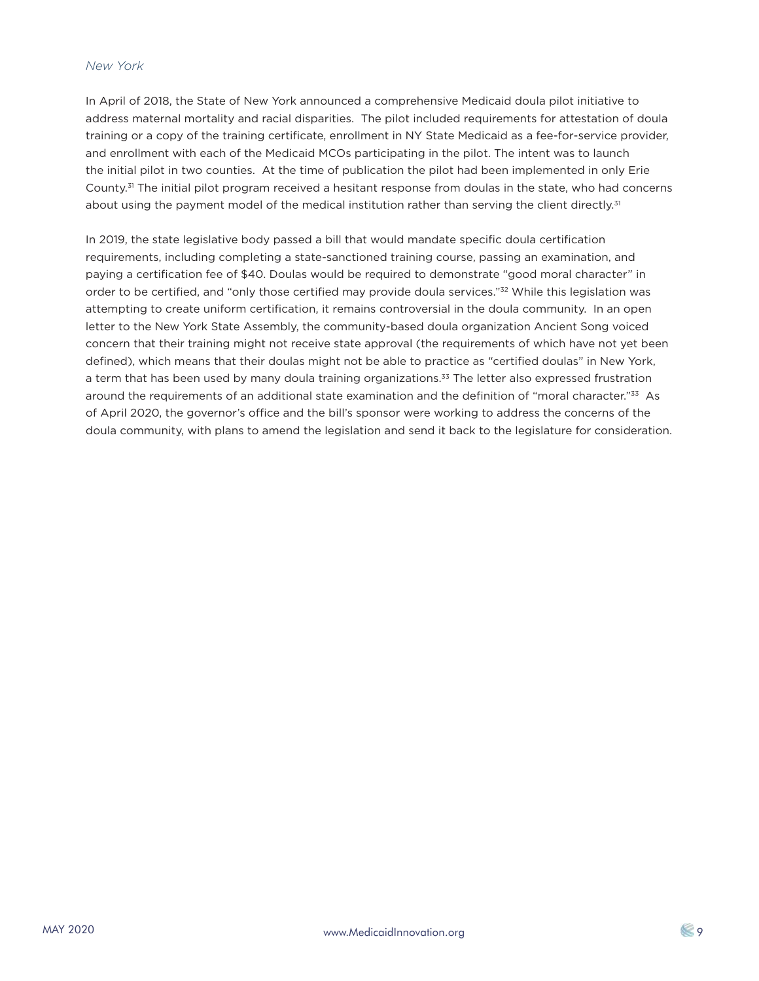#### *New York*

In April of 2018, the State of New York announced a comprehensive Medicaid doula pilot initiative to address maternal mortality and racial disparities. The pilot included requirements for attestation of doula training or a copy of the training certificate, enrollment in NY State Medicaid as a fee-for-service provider, and enrollment with each of the Medicaid MCOs participating in the pilot. The intent was to launch the initial pilot in two counties. At the time of publication the pilot had been implemented in only Erie County.<sup>31</sup> The initial pilot program received a hesitant response from doulas in the state, who had concerns about using the payment model of the medical institution rather than serving the client directly.<sup>31</sup>

In 2019, the state legislative body passed a bill that would mandate specific doula certification requirements, including completing a state-sanctioned training course, passing an examination, and paying a certification fee of \$40. Doulas would be required to demonstrate "good moral character" in order to be certified, and "only those certified may provide doula services."<sup>32</sup> While this legislation was attempting to create uniform certification, it remains controversial in the doula community. In an open letter to the New York State Assembly, the community-based doula organization Ancient Song voiced concern that their training might not receive state approval (the requirements of which have not yet been defined), which means that their doulas might not be able to practice as "certified doulas" in New York, a term that has been used by many doula training organizations.<sup>33</sup> The letter also expressed frustration around the requirements of an additional state examination and the definition of "moral character."<sup>33</sup> As of April 2020, the governor's office and the bill's sponsor were working to address the concerns of the doula community, with plans to amend the legislation and send it back to the legislature for consideration.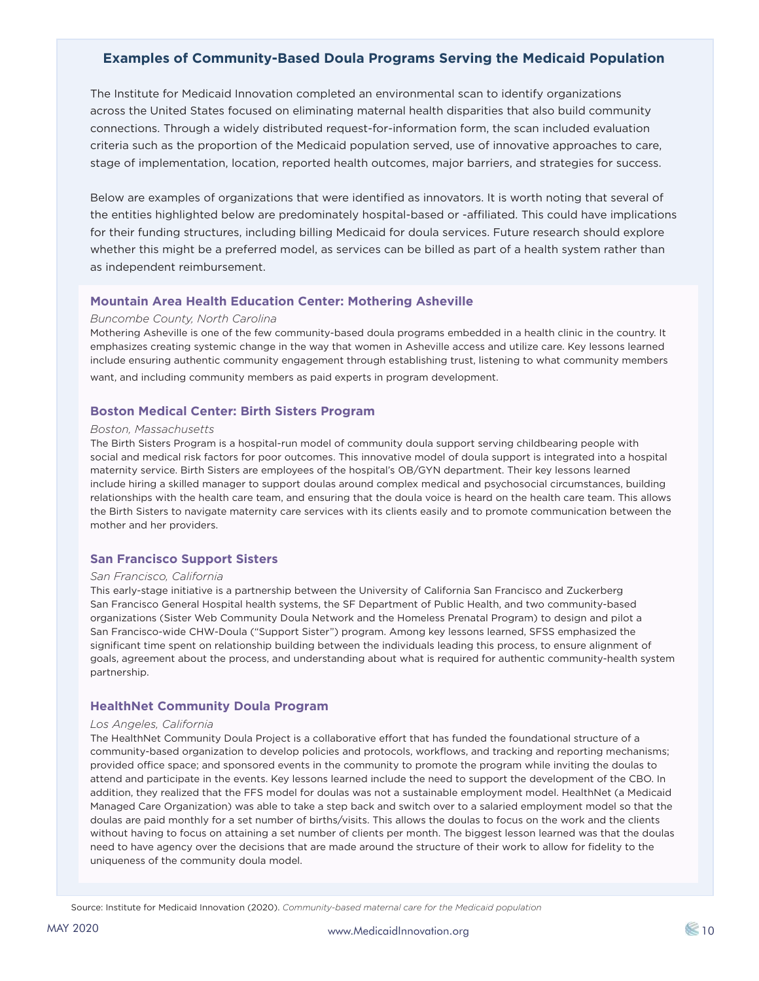# **Examples of Community-Based Doula Programs Serving the Medicaid Population**

The Institute for Medicaid Innovation completed an environmental scan to identify organizations across the United States focused on eliminating maternal health disparities that also build community connections. Through a widely distributed request-for-information form, the scan included evaluation criteria such as the proportion of the Medicaid population served, use of innovative approaches to care, stage of implementation, location, reported health outcomes, major barriers, and strategies for success.

Below are examples of organizations that were identified as innovators. It is worth noting that several of the entities highlighted below are predominately hospital-based or -affiliated. This could have implications for their funding structures, including billing Medicaid for doula services. Future research should explore whether this might be a preferred model, as services can be billed as part of a health system rather than as independent reimbursement.

#### **Mountain Area Health Education Center: Mothering Asheville**

#### *Buncombe County, North Carolina*

Mothering Asheville is one of the few community-based doula programs embedded in a health clinic in the country. It emphasizes creating systemic change in the way that women in Asheville access and utilize care. Key lessons learned include ensuring authentic community engagement through establishing trust, listening to what community members want, and including community members as paid experts in program development.

#### **Boston Medical Center: Birth Sisters Program**

#### *Boston, Massachusetts*

The Birth Sisters Program is a hospital-run model of community doula support serving childbearing people with social and medical risk factors for poor outcomes. This innovative model of doula support is integrated into a hospital maternity service. Birth Sisters are employees of the hospital's OB/GYN department. Their key lessons learned include hiring a skilled manager to support doulas around complex medical and psychosocial circumstances, building relationships with the health care team, and ensuring that the doula voice is heard on the health care team. This allows the Birth Sisters to navigate maternity care services with its clients easily and to promote communication between the mother and her providers.

#### **San Francisco Support Sisters**

#### *San Francisco, California*

This early-stage initiative is a partnership between the University of California San Francisco and Zuckerberg San Francisco General Hospital health systems, the SF Department of Public Health, and two community-based organizations (Sister Web Community Doula Network and the Homeless Prenatal Program) to design and pilot a San Francisco-wide CHW-Doula ("Support Sister") program. Among key lessons learned, SFSS emphasized the significant time spent on relationship building between the individuals leading this process, to ensure alignment of goals, agreement about the process, and understanding about what is required for authentic community-health system partnership.

#### **HealthNet Community Doula Program**

#### *Los Angeles, California*

The HealthNet Community Doula Project is a collaborative effort that has funded the foundational structure of a community-based organization to develop policies and protocols, workflows, and tracking and reporting mechanisms; provided office space; and sponsored events in the community to promote the program while inviting the doulas to attend and participate in the events. Key lessons learned include the need to support the development of the CBO. In addition, they realized that the FFS model for doulas was not a sustainable employment model. HealthNet (a Medicaid Managed Care Organization) was able to take a step back and switch over to a salaried employment model so that the doulas are paid monthly for a set number of births/visits. This allows the doulas to focus on the work and the clients without having to focus on attaining a set number of clients per month. The biggest lesson learned was that the doulas need to have agency over the decisions that are made around the structure of their work to allow for fidelity to the uniqueness of the community doula model.

Source: Institute for Medicaid Innovation (2020). *Community-based maternal care for the Medicaid population*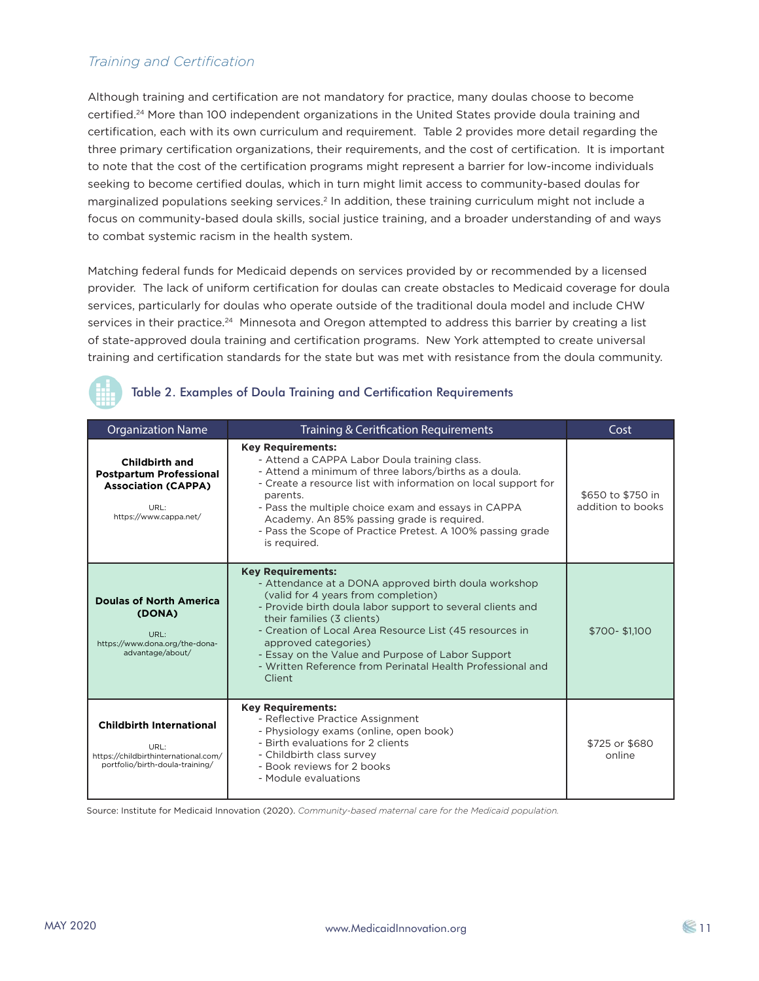# *Training and Certification*

Although training and certification are not mandatory for practice, many doulas choose to become certified.24 More than 100 independent organizations in the United States provide doula training and certification, each with its own curriculum and requirement. Table 2 provides more detail regarding the three primary certification organizations, their requirements, and the cost of certification. It is important to note that the cost of the certification programs might represent a barrier for low-income individuals seeking to become certified doulas, which in turn might limit access to community-based doulas for marginalized populations seeking services.<sup>2</sup> In addition, these training curriculum might not include a focus on community-based doula skills, social justice training, and a broader understanding of and ways to combat systemic racism in the health system.

Matching federal funds for Medicaid depends on services provided by or recommended by a licensed provider. The lack of uniform certification for doulas can create obstacles to Medicaid coverage for doula services, particularly for doulas who operate outside of the traditional doula model and include CHW services in their practice.<sup>24</sup> Minnesota and Oregon attempted to address this barrier by creating a list of state-approved doula training and certification programs. New York attempted to create universal training and certification standards for the state but was met with resistance from the doula community.



## Table 2. Examples of Doula Training and Certification Requirements

| <b>Organization Name</b>                                                                                                | Training & Ceritfication Requirements                                                                                                                                                                                                                                                                                                                                                                                               | Cost                                   |  |
|-------------------------------------------------------------------------------------------------------------------------|-------------------------------------------------------------------------------------------------------------------------------------------------------------------------------------------------------------------------------------------------------------------------------------------------------------------------------------------------------------------------------------------------------------------------------------|----------------------------------------|--|
| <b>Childbirth and</b><br><b>Postpartum Professional</b><br><b>Association (CAPPA)</b><br>URL:<br>https://www.cappa.net/ | <b>Key Requirements:</b><br>- Attend a CAPPA Labor Doula training class.<br>- Attend a minimum of three labors/births as a doula.<br>- Create a resource list with information on local support for<br>parents.<br>- Pass the multiple choice exam and essays in CAPPA<br>Academy. An 85% passing grade is required.<br>- Pass the Scope of Practice Pretest. A 100% passing grade<br>is required.                                  | \$650 to \$750 in<br>addition to books |  |
| <b>Doulas of North America</b><br>(DONA)<br>URL:<br>https://www.dona.org/the-dona-<br>advantage/about/                  | <b>Key Requirements:</b><br>- Attendance at a DONA approved birth doula workshop<br>(valid for 4 years from completion)<br>- Provide birth doula labor support to several clients and<br>their families (3 clients)<br>- Creation of Local Area Resource List (45 resources in<br>approved categories)<br>- Essay on the Value and Purpose of Labor Support<br>- Written Reference from Perinatal Health Professional and<br>Client | \$700-\$1.100                          |  |
| <b>Childbirth International</b><br>URL:<br>https://childbirthinternational.com/<br>portfolio/birth-doula-training/      | <b>Key Requirements:</b><br>- Reflective Practice Assignment<br>- Physiology exams (online, open book)<br>- Birth evaluations for 2 clients<br>- Childbirth class survey<br>- Book reviews for 2 books<br>- Module evaluations                                                                                                                                                                                                      | \$725 or \$680<br>online               |  |

Source: Institute for Medicaid Innovation (2020). *Community-based maternal care for the Medicaid population.*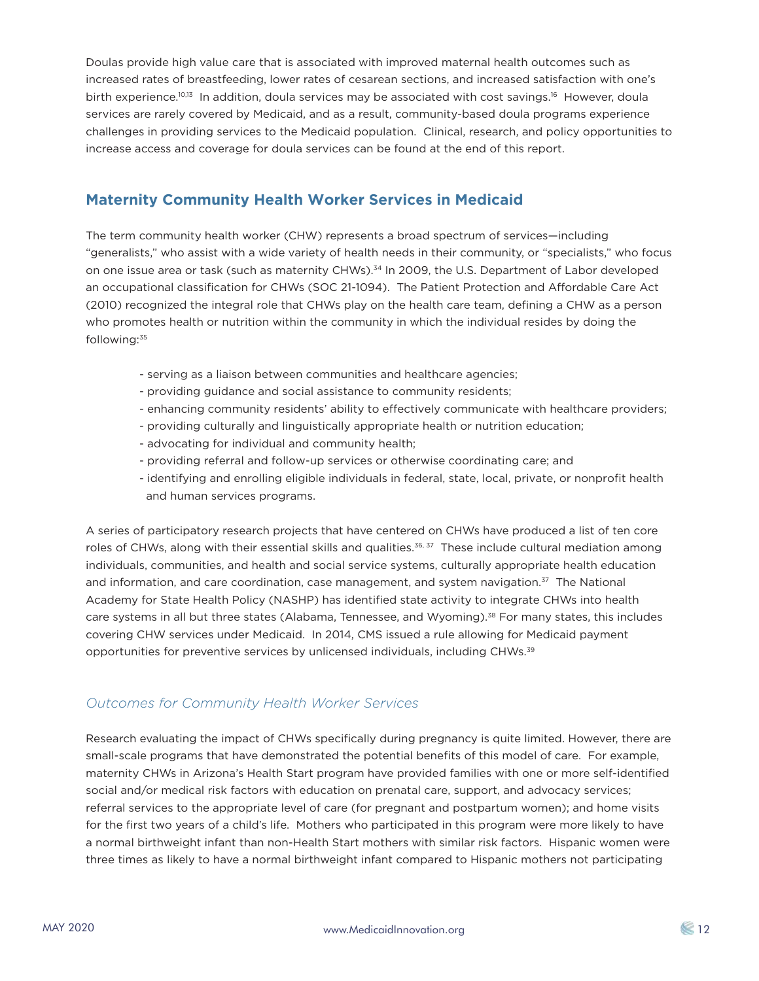Doulas provide high value care that is associated with improved maternal health outcomes such as increased rates of breastfeeding, lower rates of cesarean sections, and increased satisfaction with one's birth experience.<sup>10,13</sup> In addition, doula services may be associated with cost savings.<sup>16</sup> However, doula services are rarely covered by Medicaid, and as a result, community-based doula programs experience challenges in providing services to the Medicaid population. Clinical, research, and policy opportunities to increase access and coverage for doula services can be found at the end of this report.

# **Maternity Community Health Worker Services in Medicaid**

The term community health worker (CHW) represents a broad spectrum of services—including "generalists," who assist with a wide variety of health needs in their community, or "specialists," who focus on one issue area or task (such as maternity CHWs).<sup>34</sup> In 2009, the U.S. Department of Labor developed an occupational classification for CHWs (SOC 21-1094). The Patient Protection and Affordable Care Act (2010) recognized the integral role that CHWs play on the health care team, defining a CHW as a person who promotes health or nutrition within the community in which the individual resides by doing the following:35

- serving as a liaison between communities and healthcare agencies;
- providing guidance and social assistance to community residents;
- enhancing community residents' ability to effectively communicate with healthcare providers;
- providing culturally and linguistically appropriate health or nutrition education;
- advocating for individual and community health;
- providing referral and follow-up services or otherwise coordinating care; and
- identifying and enrolling eligible individuals in federal, state, local, private, or nonprofit health and human services programs.

A series of participatory research projects that have centered on CHWs have produced a list of ten core roles of CHWs, along with their essential skills and qualities.<sup>36, 37</sup> These include cultural mediation among individuals, communities, and health and social service systems, culturally appropriate health education and information, and care coordination, case management, and system navigation. $37$  The National Academy for State Health Policy (NASHP) has identified state activity to integrate CHWs into health care systems in all but three states (Alabama, Tennessee, and Wyoming).38 For many states, this includes covering CHW services under Medicaid. In 2014, CMS issued a rule allowing for Medicaid payment opportunities for preventive services by unlicensed individuals, including CHWs.39

# *Outcomes for Community Health Worker Services*

Research evaluating the impact of CHWs specifically during pregnancy is quite limited. However, there are small-scale programs that have demonstrated the potential benefits of this model of care. For example, maternity CHWs in Arizona's Health Start program have provided families with one or more self-identified social and/or medical risk factors with education on prenatal care, support, and advocacy services; referral services to the appropriate level of care (for pregnant and postpartum women); and home visits for the first two years of a child's life. Mothers who participated in this program were more likely to have a normal birthweight infant than non-Health Start mothers with similar risk factors. Hispanic women were three times as likely to have a normal birthweight infant compared to Hispanic mothers not participating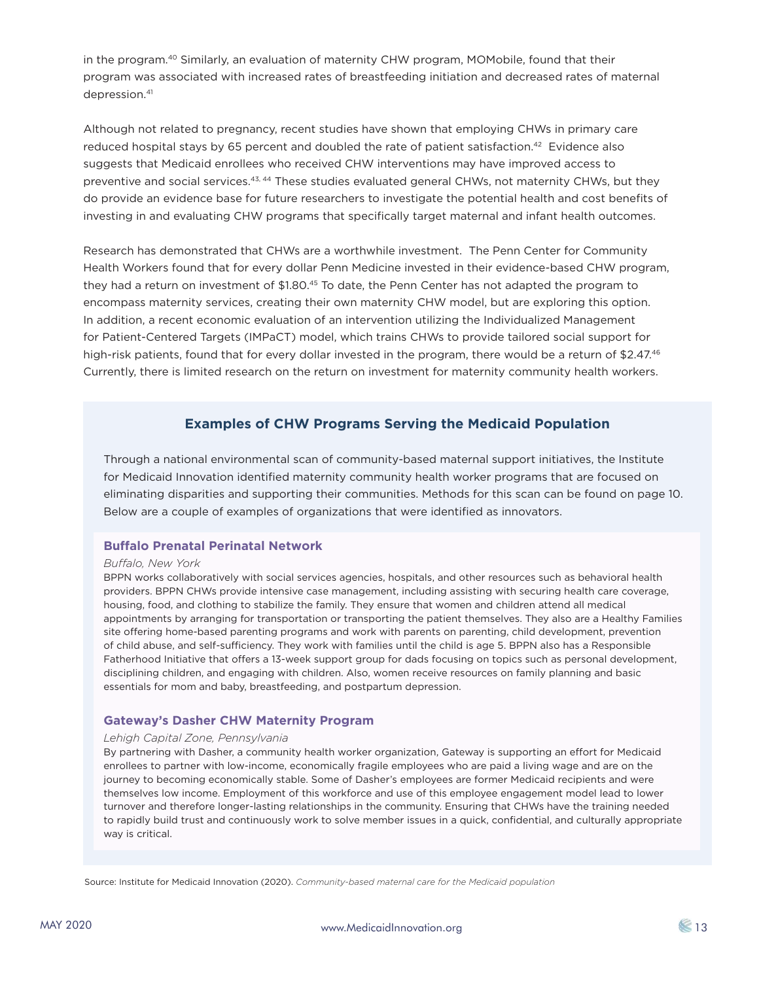in the program.<sup>40</sup> Similarly, an evaluation of maternity CHW program, MOMobile, found that their program was associated with increased rates of breastfeeding initiation and decreased rates of maternal depression.<sup>41</sup>

Although not related to pregnancy, recent studies have shown that employing CHWs in primary care reduced hospital stays by 65 percent and doubled the rate of patient satisfaction.<sup>42</sup> Evidence also suggests that Medicaid enrollees who received CHW interventions may have improved access to preventive and social services.<sup>43, 44</sup> These studies evaluated general CHWs, not maternity CHWs, but they do provide an evidence base for future researchers to investigate the potential health and cost benefits of investing in and evaluating CHW programs that specifically target maternal and infant health outcomes.

Research has demonstrated that CHWs are a worthwhile investment. The Penn Center for Community Health Workers found that for every dollar Penn Medicine invested in their evidence-based CHW program, they had a return on investment of \$1.80.<sup>45</sup> To date, the Penn Center has not adapted the program to encompass maternity services, creating their own maternity CHW model, but are exploring this option. In addition, a recent economic evaluation of an intervention utilizing the Individualized Management for Patient-Centered Targets (IMPaCT) model, which trains CHWs to provide tailored social support for high-risk patients, found that for every dollar invested in the program, there would be a return of \$2.47.<sup>46</sup> Currently, there is limited research on the return on investment for maternity community health workers.

# **Examples of CHW Programs Serving the Medicaid Population**

Through a national environmental scan of community-based maternal support initiatives, the Institute for Medicaid Innovation identified maternity community health worker programs that are focused on eliminating disparities and supporting their communities. Methods for this scan can be found on page 10. Below are a couple of examples of organizations that were identified as innovators.

#### **Buffalo Prenatal Perinatal Network**

#### *Buffalo, New York*

BPPN works collaboratively with social services agencies, hospitals, and other resources such as behavioral health providers. BPPN CHWs provide intensive case management, including assisting with securing health care coverage, housing, food, and clothing to stabilize the family. They ensure that women and children attend all medical appointments by arranging for transportation or transporting the patient themselves. They also are a Healthy Families site offering home-based parenting programs and work with parents on parenting, child development, prevention of child abuse, and self-sufficiency. They work with families until the child is age 5. BPPN also has a Responsible Fatherhood Initiative that offers a 13-week support group for dads focusing on topics such as personal development, disciplining children, and engaging with children. Also, women receive resources on family planning and basic essentials for mom and baby, breastfeeding, and postpartum depression.

#### **Gateway's Dasher CHW Maternity Program**

#### *Lehigh Capital Zone, Pennsylvania*

By partnering with Dasher, a community health worker organization, Gateway is supporting an effort for Medicaid enrollees to partner with low-income, economically fragile employees who are paid a living wage and are on the journey to becoming economically stable. Some of Dasher's employees are former Medicaid recipients and were themselves low income. Employment of this workforce and use of this employee engagement model lead to lower turnover and therefore longer-lasting relationships in the community. Ensuring that CHWs have the training needed to rapidly build trust and continuously work to solve member issues in a quick, confidential, and culturally appropriate way is critical.

Source: Institute for Medicaid Innovation (2020). *Community-based maternal care for the Medicaid population*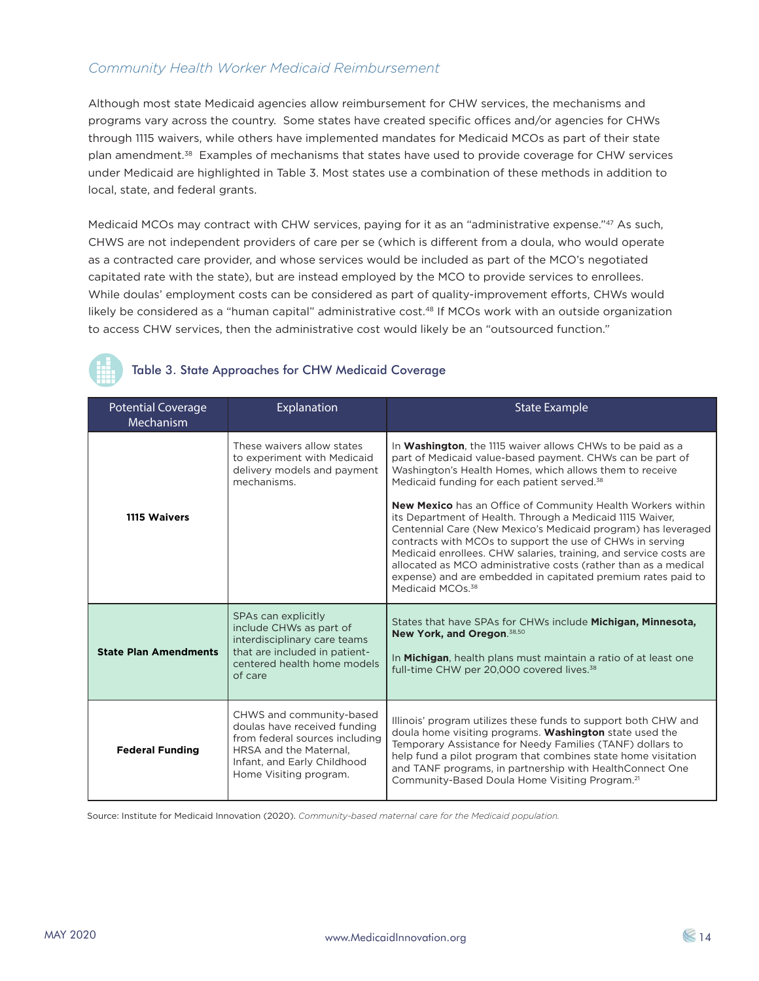# *Community Health Worker Medicaid Reimbursement*

Although most state Medicaid agencies allow reimbursement for CHW services, the mechanisms and programs vary across the country. Some states have created specific offices and/or agencies for CHWs through 1115 waivers, while others have implemented mandates for Medicaid MCOs as part of their state plan amendment.38 Examples of mechanisms that states have used to provide coverage for CHW services under Medicaid are highlighted in Table 3. Most states use a combination of these methods in addition to local, state, and federal grants.

Medicaid MCOs may contract with CHW services, paying for it as an "administrative expense."47 As such, CHWS are not independent providers of care per se (which is different from a doula, who would operate as a contracted care provider, and whose services would be included as part of the MCO's negotiated capitated rate with the state), but are instead employed by the MCO to provide services to enrollees. While doulas' employment costs can be considered as part of quality-improvement efforts, CHWs would likely be considered as a "human capital" administrative cost.<sup>48</sup> If MCOs work with an outside organization to access CHW services, then the administrative cost would likely be an "outsourced function."

# Table 3. State Approaches for CHW Medicaid Coverage

| <b>Potential Coverage</b><br>Mechanism | Explanation                                                                                                                                                                   | <b>State Example</b>                                                                                                                                                                                                                                                                                                                                                                                                                                                                                                                                                                                                                                                                                                                                           |
|----------------------------------------|-------------------------------------------------------------------------------------------------------------------------------------------------------------------------------|----------------------------------------------------------------------------------------------------------------------------------------------------------------------------------------------------------------------------------------------------------------------------------------------------------------------------------------------------------------------------------------------------------------------------------------------------------------------------------------------------------------------------------------------------------------------------------------------------------------------------------------------------------------------------------------------------------------------------------------------------------------|
| 1115 Waivers                           | These waivers allow states<br>to experiment with Medicaid<br>delivery models and payment<br>mechanisms.                                                                       | In <b>Washington</b> , the 1115 waiver allows CHWs to be paid as a<br>part of Medicaid value-based payment. CHWs can be part of<br>Washington's Health Homes, which allows them to receive<br>Medicaid funding for each patient served. <sup>38</sup><br><b>New Mexico</b> has an Office of Community Health Workers within<br>its Department of Health. Through a Medicaid 1115 Waiver,<br>Centennial Care (New Mexico's Medicaid program) has leveraged<br>contracts with MCOs to support the use of CHWs in serving<br>Medicaid enrollees. CHW salaries, training, and service costs are<br>allocated as MCO administrative costs (rather than as a medical<br>expense) and are embedded in capitated premium rates paid to<br>Medicaid MCOs. <sup>38</sup> |
| <b>State Plan Amendments</b>           | SPAs can explicitly<br>include CHWs as part of<br>interdisciplinary care teams<br>that are included in patient-<br>centered health home models<br>of care                     | States that have SPAs for CHWs include <b>Michigan, Minnesota,</b><br>New York, and Oregon. 38,50<br>In Michigan, health plans must maintain a ratio of at least one<br>full-time CHW per 20,000 covered lives. <sup>38</sup>                                                                                                                                                                                                                                                                                                                                                                                                                                                                                                                                  |
| <b>Federal Funding</b>                 | CHWS and community-based<br>doulas have received funding<br>from federal sources including<br>HRSA and the Maternal.<br>Infant, and Early Childhood<br>Home Visiting program. | Illinois' program utilizes these funds to support both CHW and<br>doula home visiting programs. Washington state used the<br>Temporary Assistance for Needy Families (TANF) dollars to<br>help fund a pilot program that combines state home visitation<br>and TANF programs, in partnership with HealthConnect One<br>Community-Based Doula Home Visiting Program. <sup>21</sup>                                                                                                                                                                                                                                                                                                                                                                              |

Source: Institute for Medicaid Innovation (2020). *Community-based maternal care for the Medicaid population.*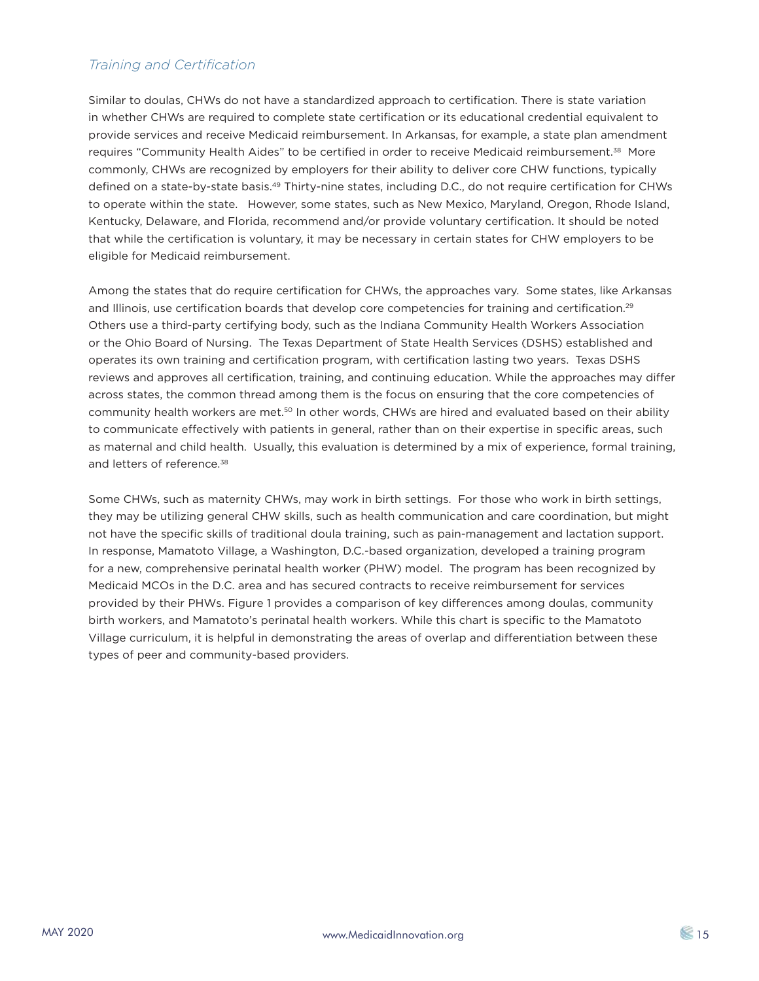# *Training and Certification*

Similar to doulas, CHWs do not have a standardized approach to certification. There is state variation in whether CHWs are required to complete state certification or its educational credential equivalent to provide services and receive Medicaid reimbursement. In Arkansas, for example, a state plan amendment requires "Community Health Aides" to be certified in order to receive Medicaid reimbursement.<sup>38</sup> More commonly, CHWs are recognized by employers for their ability to deliver core CHW functions, typically defined on a state-by-state basis.49 Thirty-nine states, including D.C., do not require certification for CHWs to operate within the state. However, some states, such as New Mexico, Maryland, Oregon, Rhode Island, Kentucky, Delaware, and Florida, recommend and/or provide voluntary certification. It should be noted that while the certification is voluntary, it may be necessary in certain states for CHW employers to be eligible for Medicaid reimbursement.

Among the states that do require certification for CHWs, the approaches vary. Some states, like Arkansas and Illinois, use certification boards that develop core competencies for training and certification.<sup>29</sup> Others use a third-party certifying body, such as the Indiana Community Health Workers Association or the Ohio Board of Nursing. The Texas Department of State Health Services (DSHS) established and operates its own training and certification program, with certification lasting two years. Texas DSHS reviews and approves all certification, training, and continuing education. While the approaches may differ across states, the common thread among them is the focus on ensuring that the core competencies of community health workers are met.<sup>50</sup> In other words, CHWs are hired and evaluated based on their ability to communicate effectively with patients in general, rather than on their expertise in specific areas, such as maternal and child health. Usually, this evaluation is determined by a mix of experience, formal training, and letters of reference.<sup>38</sup>

Some CHWs, such as maternity CHWs, may work in birth settings. For those who work in birth settings, they may be utilizing general CHW skills, such as health communication and care coordination, but might not have the specific skills of traditional doula training, such as pain-management and lactation support. In response, Mamatoto Village, a Washington, D.C.-based organization, developed a training program for a new, comprehensive perinatal health worker (PHW) model. The program has been recognized by Medicaid MCOs in the D.C. area and has secured contracts to receive reimbursement for services provided by their PHWs. Figure 1 provides a comparison of key differences among doulas, community birth workers, and Mamatoto's perinatal health workers. While this chart is specific to the Mamatoto Village curriculum, it is helpful in demonstrating the areas of overlap and differentiation between these types of peer and community-based providers.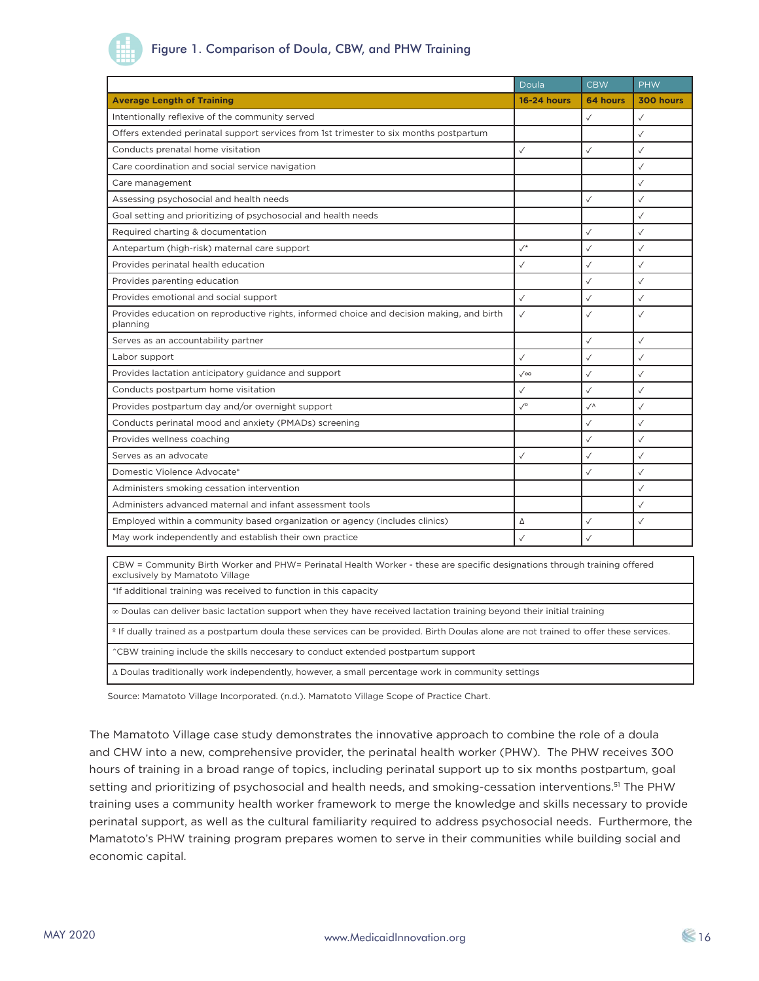# Figure 1. Comparison of Doula, CBW, and PHW Training

|                                                                                                                                                             | Doula              | <b>CBW</b>       | <b>PHW</b>   |
|-------------------------------------------------------------------------------------------------------------------------------------------------------------|--------------------|------------------|--------------|
| <b>Average Length of Training</b>                                                                                                                           | <b>16-24 hours</b> | 64 hours         | 300 hours    |
| Intentionally reflexive of the community served                                                                                                             |                    | $\checkmark$     | $\checkmark$ |
| Offers extended perinatal support services from 1st trimester to six months postpartum                                                                      |                    |                  | $\checkmark$ |
| Conducts prenatal home visitation                                                                                                                           | $\checkmark$       | $\checkmark$     | $\checkmark$ |
| Care coordination and social service navigation                                                                                                             |                    |                  | $\checkmark$ |
| Care management                                                                                                                                             |                    |                  | $\checkmark$ |
| Assessing psychosocial and health needs                                                                                                                     |                    | $\checkmark$     | $\checkmark$ |
| Goal setting and prioritizing of psychosocial and health needs                                                                                              |                    |                  | $\checkmark$ |
| Required charting & documentation                                                                                                                           |                    | $\checkmark$     | $\checkmark$ |
| Antepartum (high-risk) maternal care support                                                                                                                | $\checkmark$       | $\checkmark$     | $\checkmark$ |
| Provides perinatal health education                                                                                                                         | $\checkmark$       | $\checkmark$     | $\checkmark$ |
| Provides parenting education                                                                                                                                |                    | $\checkmark$     | $\checkmark$ |
| Provides emotional and social support                                                                                                                       | $\checkmark$       | $\checkmark$     | $\checkmark$ |
| Provides education on reproductive rights, informed choice and decision making, and birth<br>planning                                                       | $\checkmark$       | $\checkmark$     | $\checkmark$ |
| Serves as an accountability partner                                                                                                                         |                    | $\checkmark$     | $\checkmark$ |
| Labor support                                                                                                                                               | $\checkmark$       | $\checkmark$     | $\checkmark$ |
| Provides lactation anticipatory guidance and support                                                                                                        | $\sqrt{\infty}$    | ✓                | $\checkmark$ |
| Conducts postpartum home visitation                                                                                                                         | $\checkmark$       | $\checkmark$     | $\checkmark$ |
| Provides postpartum day and/or overnight support                                                                                                            | $\sqrt{\circ}$     | $\sqrt{\Lambda}$ | $\checkmark$ |
| Conducts perinatal mood and anxiety (PMADs) screening                                                                                                       |                    | $\checkmark$     | $\checkmark$ |
| Provides wellness coaching                                                                                                                                  |                    | $\checkmark$     | $\checkmark$ |
| Serves as an advocate                                                                                                                                       | $\checkmark$       | $\checkmark$     | $\checkmark$ |
| Domestic Violence Advocate*                                                                                                                                 |                    | $\checkmark$     | $\checkmark$ |
| Administers smoking cessation intervention                                                                                                                  |                    |                  | $\checkmark$ |
| Administers advanced maternal and infant assessment tools                                                                                                   |                    |                  | $\checkmark$ |
| Employed within a community based organization or agency (includes clinics)                                                                                 | Δ                  | $\checkmark$     | $\checkmark$ |
| May work independently and establish their own practice                                                                                                     | $\checkmark$       | $\checkmark$     |              |
| CBW = Community Birth Worker and PHW= Perinatal Health Worker - these are specific designations through training offered<br>exclusively by Mamatoto Village |                    |                  |              |

\*If additional training was received to function in this capacity

∞ Doulas can deliver basic lactation support when they have received lactation training beyond their initial training

º If dually trained as a postpartum doula these services can be provided. Birth Doulas alone are not trained to offer these services.

^CBW training include the skills neccesary to conduct extended postpartum support

∆ Doulas traditionally work independently, however, a small percentage work in community settings

Source: Mamatoto Village Incorporated. (n.d.). Mamatoto Village Scope of Practice Chart.

The Mamatoto Village case study demonstrates the innovative approach to combine the role of a doula and CHW into a new, comprehensive provider, the perinatal health worker (PHW). The PHW receives 300 hours of training in a broad range of topics, including perinatal support up to six months postpartum, goal setting and prioritizing of psychosocial and health needs, and smoking-cessation interventions.<sup>51</sup> The PHW training uses a community health worker framework to merge the knowledge and skills necessary to provide perinatal support, as well as the cultural familiarity required to address psychosocial needs. Furthermore, the Mamatoto's PHW training program prepares women to serve in their communities while building social and economic capital.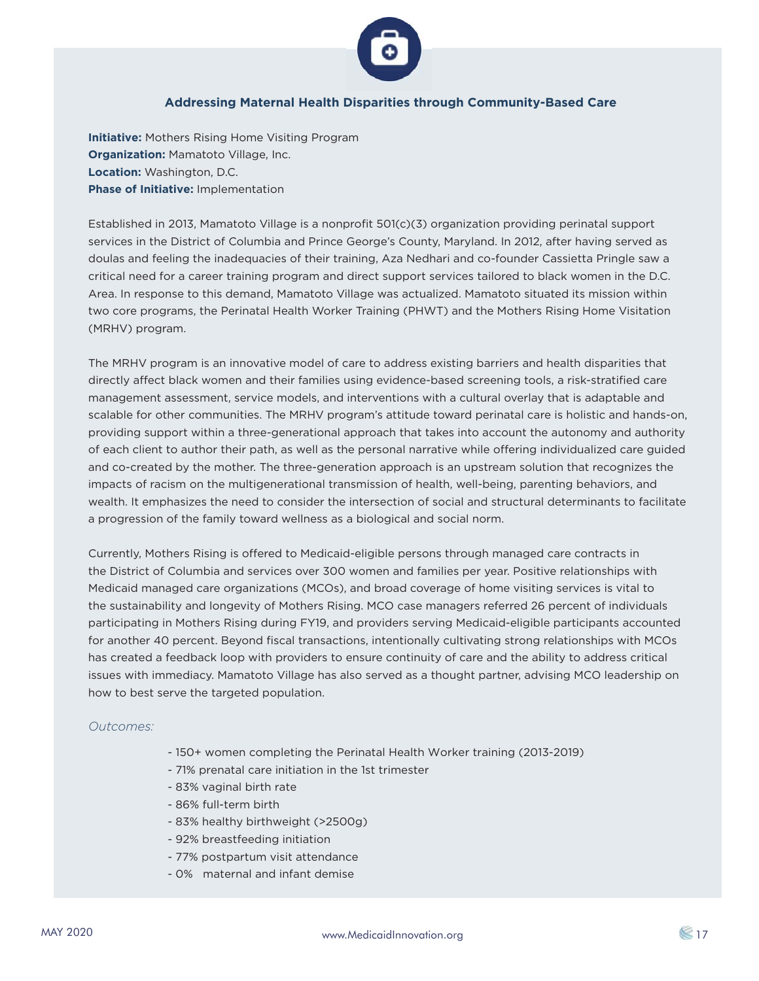

## **Addressing Maternal Health Disparities through Community-Based Care**

**Initiative:** Mothers Rising Home Visiting Program **Organization:** Mamatoto Village, Inc. **Location:** Washington, D.C. **Phase of Initiative:** Implementation

Established in 2013, Mamatoto Village is a nonprofit 501(c)(3) organization providing perinatal support services in the District of Columbia and Prince George's County, Maryland. In 2012, after having served as doulas and feeling the inadequacies of their training, Aza Nedhari and co-founder Cassietta Pringle saw a critical need for a career training program and direct support services tailored to black women in the D.C. Area. In response to this demand, Mamatoto Village was actualized. Mamatoto situated its mission within two core programs, the Perinatal Health Worker Training (PHWT) and the Mothers Rising Home Visitation (MRHV) program.

The MRHV program is an innovative model of care to address existing barriers and health disparities that directly affect black women and their families using evidence-based screening tools, a risk-stratified care management assessment, service models, and interventions with a cultural overlay that is adaptable and scalable for other communities. The MRHV program's attitude toward perinatal care is holistic and hands-on, providing support within a three-generational approach that takes into account the autonomy and authority of each client to author their path, as well as the personal narrative while offering individualized care guided and co-created by the mother. The three-generation approach is an upstream solution that recognizes the impacts of racism on the multigenerational transmission of health, well-being, parenting behaviors, and wealth. It emphasizes the need to consider the intersection of social and structural determinants to facilitate a progression of the family toward wellness as a biological and social norm.

Currently, Mothers Rising is offered to Medicaid-eligible persons through managed care contracts in the District of Columbia and services over 300 women and families per year. Positive relationships with Medicaid managed care organizations (MCOs), and broad coverage of home visiting services is vital to the sustainability and longevity of Mothers Rising. MCO case managers referred 26 percent of individuals participating in Mothers Rising during FY19, and providers serving Medicaid-eligible participants accounted for another 40 percent. Beyond fiscal transactions, intentionally cultivating strong relationships with MCOs has created a feedback loop with providers to ensure continuity of care and the ability to address critical issues with immediacy. Mamatoto Village has also served as a thought partner, advising MCO leadership on how to best serve the targeted population.

#### *Outcomes:*

- 150+ women completing the Perinatal Health Worker training (2013-2019)
- 71% prenatal care initiation in the 1st trimester
- 83% vaginal birth rate
- 86% full-term birth
- 83% healthy birthweight (>2500g)
- 92% breastfeeding initiation
- 77% postpartum visit attendance
- 0% maternal and infant demise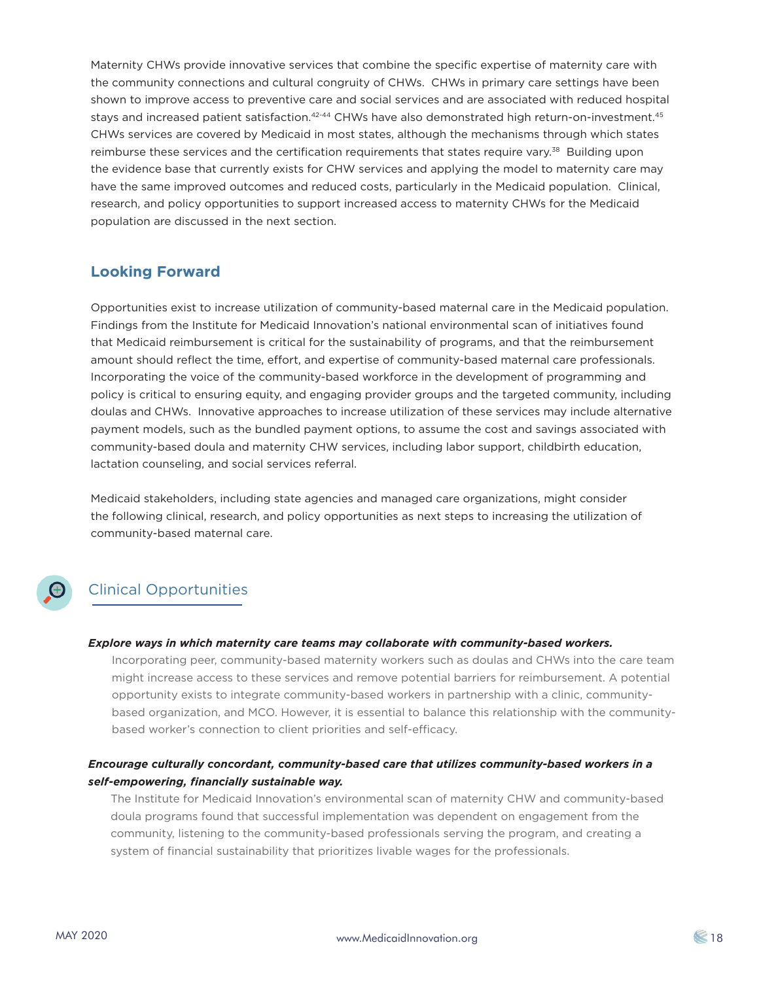Maternity CHWs provide innovative services that combine the specific expertise of maternity care with the community connections and cultural congruity of CHWs. CHWs in primary care settings have been shown to improve access to preventive care and social services and are associated with reduced hospital stays and increased patient satisfaction.<sup>42-44</sup> CHWs have also demonstrated high return-on-investment.<sup>45</sup> CHWs services are covered by Medicaid in most states, although the mechanisms through which states reimburse these services and the certification requirements that states require vary.<sup>38</sup> Building upon the evidence base that currently exists for CHW services and applying the model to maternity care may have the same improved outcomes and reduced costs, particularly in the Medicaid population. Clinical, research, and policy opportunities to support increased access to maternity CHWs for the Medicaid population are discussed in the next section.

# **Looking Forward**

Opportunities exist to increase utilization of community-based maternal care in the Medicaid population. Findings from the Institute for Medicaid Innovation's national environmental scan of initiatives found that Medicaid reimbursement is critical for the sustainability of programs, and that the reimbursement amount should reflect the time, effort, and expertise of community-based maternal care professionals. Incorporating the voice of the community-based workforce in the development of programming and policy is critical to ensuring equity, and engaging provider groups and the targeted community, including doulas and CHWs. Innovative approaches to increase utilization of these services may include alternative payment models, such as the bundled payment options, to assume the cost and savings associated with community-based doula and maternity CHW services, including labor support, childbirth education, lactation counseling, and social services referral.

Medicaid stakeholders, including state agencies and managed care organizations, might consider the following clinical, research, and policy opportunities as next steps to increasing the utilization of community-based maternal care.

# Clinical Opportunities

#### *Explore ways in which maternity care teams may collaborate with community-based workers.*

Incorporating peer, community-based maternity workers such as doulas and CHWs into the care team might increase access to these services and remove potential barriers for reimbursement. A potential opportunity exists to integrate community-based workers in partnership with a clinic, communitybased organization, and MCO. However, it is essential to balance this relationship with the communitybased worker's connection to client priorities and self-efficacy.

# *Encourage culturally concordant, community-based care that utilizes community-based workers in a self-empowering, financially sustainable way.*

The Institute for Medicaid Innovation's environmental scan of maternity CHW and community-based doula programs found that successful implementation was dependent on engagement from the community, listening to the community-based professionals serving the program, and creating a system of financial sustainability that prioritizes livable wages for the professionals.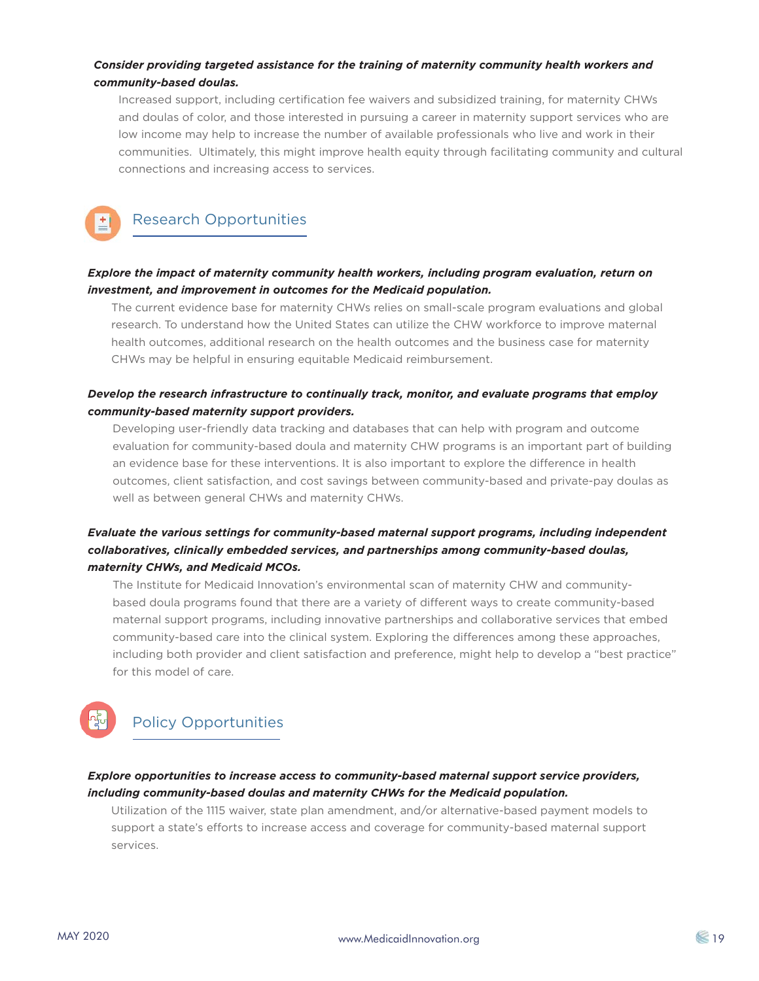## *Consider providing targeted assistance for the training of maternity community health workers and community-based doulas.*

Increased support, including certification fee waivers and subsidized training, for maternity CHWs and doulas of color, and those interested in pursuing a career in maternity support services who are low income may help to increase the number of available professionals who live and work in their communities. Ultimately, this might improve health equity through facilitating community and cultural connections and increasing access to services.

# Research Opportunities

# *Explore the impact of maternity community health workers, including program evaluation, return on investment, and improvement in outcomes for the Medicaid population.*

The current evidence base for maternity CHWs relies on small-scale program evaluations and global research. To understand how the United States can utilize the CHW workforce to improve maternal health outcomes, additional research on the health outcomes and the business case for maternity CHWs may be helpful in ensuring equitable Medicaid reimbursement.

# *Develop the research infrastructure to continually track, monitor, and evaluate programs that employ community-based maternity support providers.*

Developing user-friendly data tracking and databases that can help with program and outcome evaluation for community-based doula and maternity CHW programs is an important part of building an evidence base for these interventions. It is also important to explore the difference in health outcomes, client satisfaction, and cost savings between community-based and private-pay doulas as well as between general CHWs and maternity CHWs.

# *Evaluate the various settings for community-based maternal support programs, including independent collaboratives, clinically embedded services, and partnerships among community-based doulas, maternity CHWs, and Medicaid MCOs.*

The Institute for Medicaid Innovation's environmental scan of maternity CHW and communitybased doula programs found that there are a variety of different ways to create community-based maternal support programs, including innovative partnerships and collaborative services that embed community-based care into the clinical system. Exploring the differences among these approaches, including both provider and client satisfaction and preference, might help to develop a "best practice" for this model of care.

# Policy Opportunities

## *Explore opportunities to increase access to community-based maternal support service providers, including community-based doulas and maternity CHWs for the Medicaid population.*

Utilization of the 1115 waiver, state plan amendment, and/or alternative-based payment models to support a state's efforts to increase access and coverage for community-based maternal support services.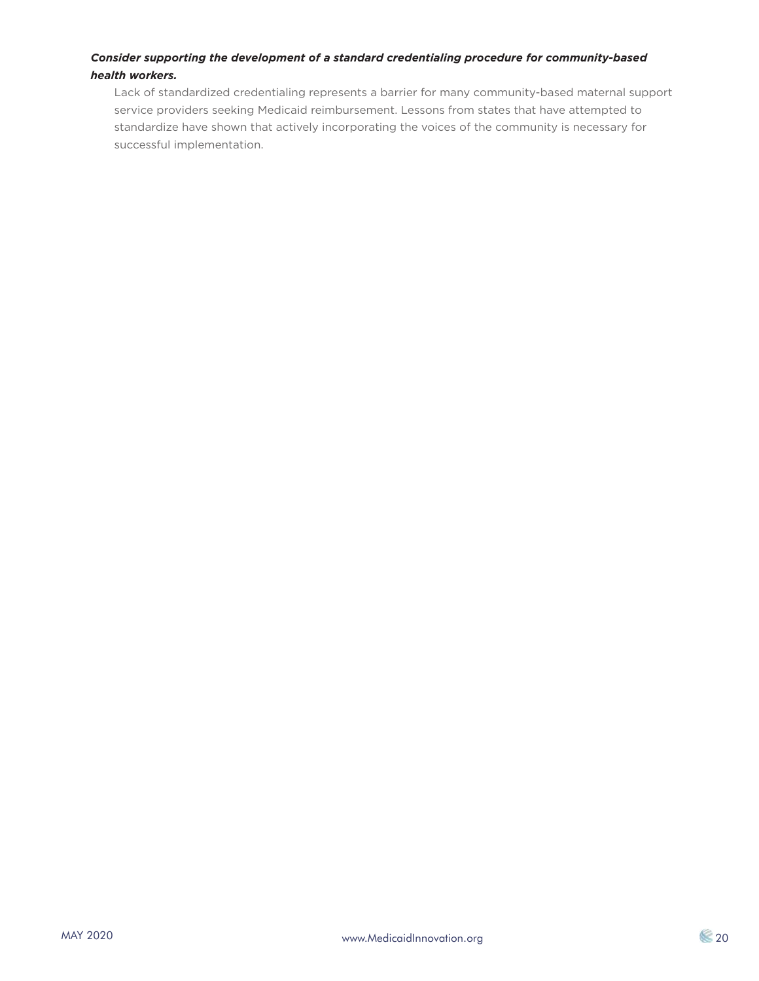## *Consider supporting the development of a standard credentialing procedure for community-based health workers.*

Lack of standardized credentialing represents a barrier for many community-based maternal support service providers seeking Medicaid reimbursement. Lessons from states that have attempted to standardize have shown that actively incorporating the voices of the community is necessary for successful implementation.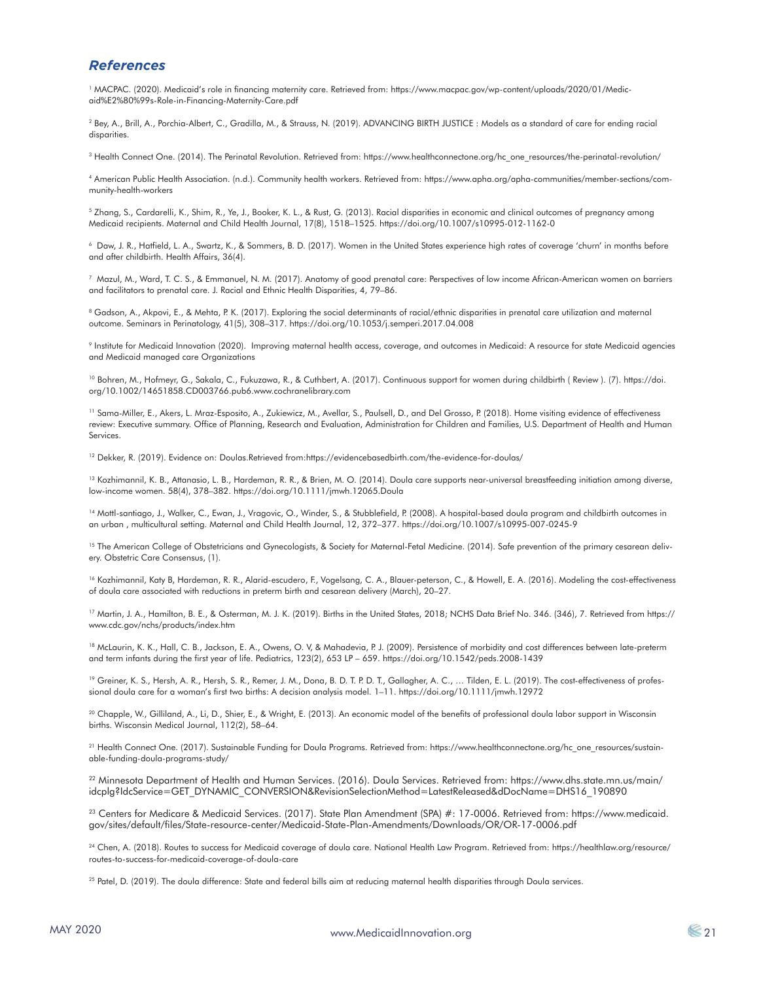## *References*

1 MACPAC. (2020). Medicaid's role in financing maternity care. Retrieved from: https://www.macpac.gov/wp-content/uploads/2020/01/Medicaid%E2%80%99s-Role-in-Financing-Maternity-Care.pdf

2 Bey, A., Brill, A., Porchia-Albert, C., Gradilla, M., & Strauss, N. (2019). ADVANCING BIRTH JUSTICE : Models as a standard of care for ending racial disparities.

<sup>3</sup> Health Connect One. (2014). The Perinatal Revolution. Retrieved from: https://www.healthconnectone.org/hc\_one\_resources/the-perinatal-revolution/

4 American Public Health Association. (n.d.). Community health workers. Retrieved from: https://www.apha.org/apha-communities/member-sections/community-health-workers

5 Zhang, S., Cardarelli, K., Shim, R., Ye, J., Booker, K. L., & Rust, G. (2013). Racial disparities in economic and clinical outcomes of pregnancy among Medicaid recipients. Maternal and Child Health Journal, 17(8), 1518–1525. https://doi.org/10.1007/s10995-012-1162-0

6 Daw, J. R., Hatfield, L. A., Swartz, K., & Sommers, B. D. (2017). Women in the United States experience high rates of coverage 'churn' in months before and after childbirth. Health Affairs, 36(4).

7 Mazul, M., Ward, T. C. S., & Emmanuel, N. M. (2017). Anatomy of good prenatal care: Perspectives of low income African-American women on barriers and facilitators to prenatal care. J. Racial and Ethnic Health Disparities, 4, 79–86.

<sup>8</sup> Gadson, A., Akpovi, E., & Mehta, P. K. (2017). Exploring the social determinants of racial/ethnic disparities in prenatal care utilization and maternal outcome. Seminars in Perinatology, 41(5), 308–317. https://doi.org/10.1053/j.semperi.2017.04.008

<sup>9</sup> Institute for Medicaid Innovation (2020). Improving maternal health access, coverage, and outcomes in Medicaid: A resource for state Medicaid agencies and Medicaid managed care Organizations

<sup>10</sup> Bohren, M., Hofmeyr, G., Sakala, C., Fukuzawa, R., & Cuthbert, A. (2017). Continuous support for women during childbirth (Review). (7). https://doi. org/10.1002/14651858.CD003766.pub6.www.cochranelibrary.com

11 Sama-Miller, E., Akers, L. Mraz-Esposito, A., Zukiewicz, M., Avellar, S., Paulsell, D., and Del Grosso, P. (2018). Home visiting evidence of effectiveness review: Executive summary. Office of Planning, Research and Evaluation, Administration for Children and Families, U.S. Department of Health and Human **Services** 

<sup>12</sup> Dekker, R. (2019). Evidence on: Doulas.Retrieved from:https://evidencebasedbirth.com/the-evidence-for-doulas/

<sup>13</sup> Kozhimannil, K. B., Attanasio, L. B., Hardeman, R. R., & Brien, M. O. (2014). Doula care supports near-universal breastfeeding initiation among diverse, low-income women. 58(4), 378–382. https://doi.org/10.1111/jmwh.12065.Doula

<sup>14</sup> Mottl-santiago, J., Walker, C., Ewan, J., Vragovic, O., Winder, S., & Stubblefield, P. (2008). A hospital-based doula program and childbirth outcomes in an urban , multicultural setting. Maternal and Child Health Journal, 12, 372–377. https://doi.org/10.1007/s10995-007-0245-9

<sup>15</sup> The American College of Obstetricians and Gynecologists, & Society for Maternal-Fetal Medicine. (2014). Safe prevention of the primary cesarean delivery. Obstetric Care Consensus, (1).

<sup>16</sup> Kozhimannil, Katy B, Hardeman, R. R., Alarid-escudero, F., Vogelsang, C. A., Blauer-peterson, C., & Howell, E. A. (2016). Modeling the cost-effectiveness of doula care associated with reductions in preterm birth and cesarean delivery (March), 20–27.

<sup>17</sup> Martin, J. A., Hamilton, B. E., & Osterman, M. J. K. (2019). Births in the United States, 2018; NCHS Data Brief No. 346. (346), 7. Retrieved from https:// www.cdc.gov/nchs/products/index.htm

18 McLaurin, K. K., Hall, C. B., Jackson, E. A., Owens, O. V, & Mahadevia, P. J. (2009). Persistence of morbidity and cost differences between late-preterm and term infants during the first year of life. Pediatrics, 123(2), 653 LP – 659. https://doi.org/10.1542/peds.2008-1439

<sup>19</sup> Greiner, K. S., Hersh, A. R., Hersh, S. R., Remer, J. M., Dona, B. D. T. P. D. T., Gallagher, A. C., ... Tilden, E. L. (2019). The cost-effectiveness of professional doula care for a woman's first two births: A decision analysis model. 1–11. https://doi.org/10.1111/jmwh.12972

<sup>20</sup> Chapple, W., Gilliland, A., Li, D., Shier, E., & Wright, E. (2013). An economic model of the benefits of professional doula labor support in Wisconsin births. Wisconsin Medical Journal, 112(2), 58–64.

21 Health Connect One. (2017). Sustainable Funding for Doula Programs. Retrieved from: https://www.healthconnectone.org/hc\_one\_resources/sustainable-funding-doula-programs-study/

22 Minnesota Department of Health and Human Services. (2016). Doula Services. Retrieved from: https://www.dhs.state.mn.us/main/ idcplg?IdcService=GET\_DYNAMIC\_CONVERSION&RevisionSelectionMethod=LatestReleased&dDocName=DHS16\_190890

23 Centers for Medicare & Medicaid Services. (2017). State Plan Amendment (SPA) #: 17-0006. Retrieved from: https://www.medicaid. gov/sites/default/files/State-resource-center/Medicaid-State-Plan-Amendments/Downloads/OR/OR-17-0006.pdf

<sup>24</sup> Chen, A. (2018). Routes to success for Medicaid coverage of doula care. National Health Law Program. Retrieved from: https://healthlaw.org/resource/ routes-to-success-for-medicaid-coverage-of-doula-care

<sup>25</sup> Patel, D. (2019). The doula difference: State and federal bills aim at reducing maternal health disparities through Doula services.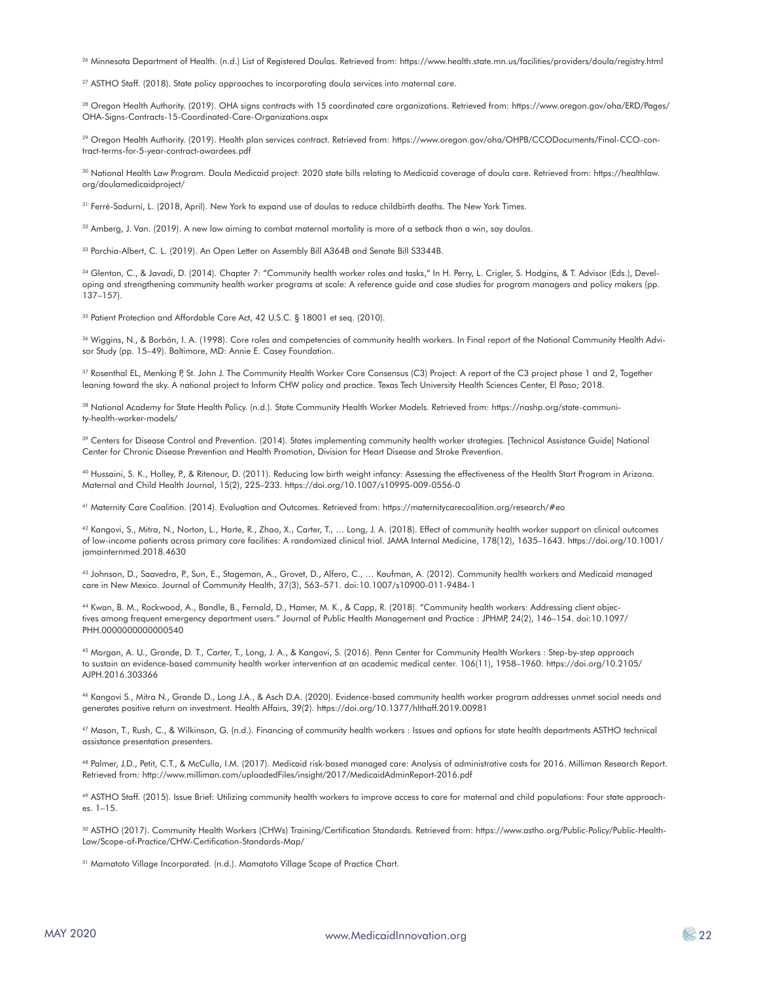26 Minnesota Department of Health. (n.d.) List of Registered Doulas. Retrieved from: https://www.health.state.mn.us/facilities/providers/doula/registry.html

<sup>27</sup> ASTHO Staff. (2018). State policy approaches to incorporating doula services into maternal care.

28 Oregon Health Authority. (2019). OHA signs contracts with 15 coordinated care organizations. Retrieved from: https://www.oregon.gov/oha/ERD/Pages/ OHA-Signs-Contracts-15-Coordinated-Care-Organizations.aspx

29 Oregon Health Authority. (2019). Health plan services contract. Retrieved from: https://www.oregon.gov/oha/OHPB/CCODocuments/Final-CCO-contract-terms-for-5-year-contract-awardees.pdf

30 National Health Law Program. Doula Medicaid project: 2020 state bills relating to Medicaid coverage of doula care. Retrieved from: https://healthlaw. org/doulamedicaidproject/

31 Ferré-Sadurní, L. (2018, April). New York to expand use of doulas to reduce childbirth deaths. The New York Times.

 $32$  Amberg, J. Van. (2019). A new law aiming to combat maternal mortality is more of a setback than a win, say doulas.

33 Porchia-Albert, C. L. (2019). An Open Letter on Assembly Bill A364B and Senate Bill S3344B.

34 Glenton, C., & Javadi, D. (2014). Chapter 7: "Community health worker roles and tasks," In H. Perry, L. Crigler, S. Hodgins, & T. Advisor (Eds.), Developing and strengthening community health worker programs at scale: A reference guide and case studies for program managers and policy makers (pp. 137–157).

<sup>35</sup> Patient Protection and Affordable Care Act, 42 U.S.C. § 18001 et seq. (2010).

36 Wiggins, N., & Borbón, I. A. (1998). Core roles and competencies of community health workers. In Final report of the National Community Health Advisor Study (pp. 15–49). Baltimore, MD: Annie E. Casey Foundation.

<sup>37</sup> Rosenthal EL, Menking P, St. John J. The Community Health Worker Core Consensus (C3) Project: A report of the C3 project phase 1 and 2, Together leaning toward the sky. A national project to Inform CHW policy and practice. Texas Tech University Health Sciences Center, El Paso; 2018.

38 National Academy for State Health Policy. (n.d.). State Community Health Worker Models. Retrieved from: https://nashp.org/state-community-health-worker-models/

39 Centers for Disease Control and Prevention. (2014). States implementing community health worker strategies. [Technical Assistance Guide] National Center for Chronic Disease Prevention and Health Promotion, Division for Heart Disease and Stroke Prevention.

40 Hussaini, S. K., Holley, P., & Ritenour, D. (2011). Reducing low birth weight infancy: Assessing the effectiveness of the Health Start Program in Arizona. Maternal and Child Health Journal, 15(2), 225–233. https://doi.org/10.1007/s10995-009-0556-0

41 Maternity Care Coalition. (2014). Evaluation and Outcomes. Retrieved from: https://maternitycarecoalition.org/research/#eo

42 Kangovi, S., Mitra, N., Norton, L., Harte, R., Zhao, X., Carter, T., ... Long, J. A. (2018). Effect of community health worker support on clinical outcomes of low-income patients across primary care facilities: A randomized clinical trial. JAMA Internal Medicine, 178(12), 1635–1643. https://doi.org/10.1001/ jamainternmed.2018.4630

43 Johnson, D., Saavedra, P., Sun, E., Stageman, A., Grovet, D., Alfero, C., … Kaufman, A. (2012). Community health workers and Medicaid managed care in New Mexico. Journal of Community Health, 37(3), 563–571. doi:10.1007/s10900-011-9484-1

44 Kwan, B. M., Rockwood, A., Bandle, B., Fernald, D., Hamer, M. K., & Capp, R. (2018). "Community health workers: Addressing client objectives among frequent emergency department users." Journal of Public Health Management and Practice : JPHMP, 24(2), 146–154. doi:10.1097/ PHH.0000000000000540

45 Morgan, A. U., Grande, D. T., Carter, T., Long, J. A., & Kangovi, S. (2016). Penn Center for Community Health Workers : Step-by-step approach to sustain an evidence-based community health worker intervention at an academic medical center. 106(11), 1958–1960. https://doi.org/10.2105/ AJPH.2016.303366

46 Kangovi S., Mitra N., Grande D., Long J.A., & Asch D.A. (2020). Evidence-based community health worker program addresses unmet social needs and generates positive return on investment. Health Affairs, 39(2). https://doi.org/10.1377/hlthaff.2019.00981

47 Mason, T., Rush, C., & Wilkinson, G. (n.d.). Financing of community health workers : Issues and options for state health departments ASTHO technical assistance presentation presenters.

48 Palmer, J.D., Petit, C.T., & McCulla, I.M. (2017). Medicaid risk-based managed care: Analysis of administrative costs for 2016. Milliman Research Report. Retrieved from: http://www.milliman.com/uploadedFiles/insight/2017/MedicaidAdminReport-2016.pdf

49 ASTHO Staff. (2015). Issue Brief: Utilizing community health workers to improve access to care for maternal and child populations: Four state approach $e_5$ . 1–15.

50 ASTHO (2017). Community Health Workers (CHWs) Training/Certification Standards. Retrieved from: https://www.astho.org/Public-Policy/Public-Health-Law/Scope-of-Practice/CHW-Certification-Standards-Map/

51 Mamatoto Village Incorporated. (n.d.). Mamatoto Village Scope of Practice Chart.